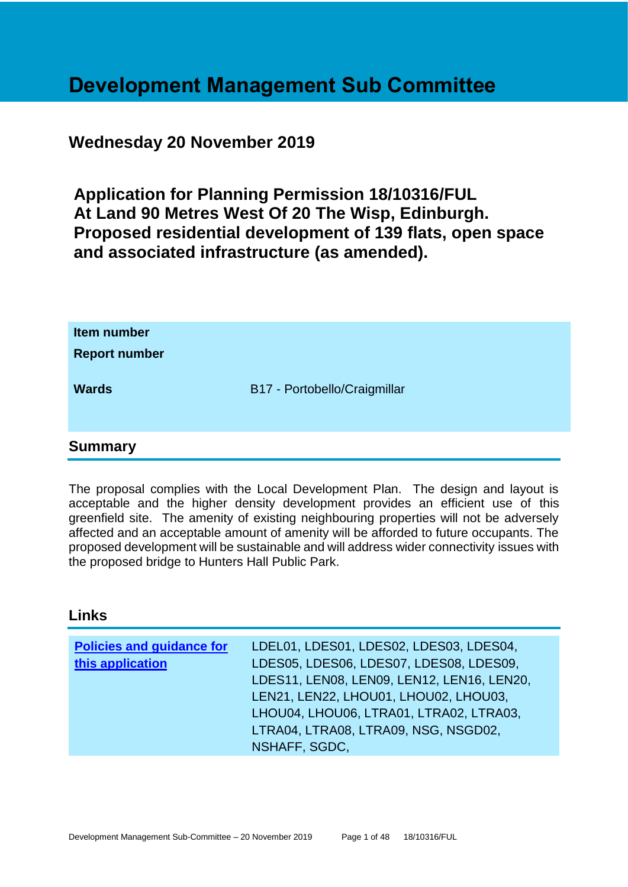# **Development Management Sub Committee**

# **Wednesday 20 November 2019**

**Application for Planning Permission 18/10316/FUL At Land 90 Metres West Of 20 The Wisp, Edinburgh. Proposed residential development of 139 flats, open space and associated infrastructure (as amended).**

| Item number<br><b>Report number</b> |                              |
|-------------------------------------|------------------------------|
| <b>Wards</b>                        | B17 - Portobello/Craigmillar |
| <b>Summary</b>                      |                              |

The proposal complies with the Local Development Plan. The design and layout is acceptable and the higher density development provides an efficient use of this greenfield site. The amenity of existing neighbouring properties will not be adversely affected and an acceptable amount of amenity will be afforded to future occupants. The proposed development will be sustainable and will address wider connectivity issues with the proposed bridge to Hunters Hall Public Park.

#### **Links**

| <b>Policies and guidance for</b> | LDEL01, LDES01, LDES02, LDES03, LDES04,    |
|----------------------------------|--------------------------------------------|
| this application                 | LDES05, LDES06, LDES07, LDES08, LDES09,    |
|                                  | LDES11, LEN08, LEN09, LEN12, LEN16, LEN20, |
|                                  | LEN21, LEN22, LHOU01, LHOU02, LHOU03,      |
|                                  | LHOU04, LHOU06, LTRA01, LTRA02, LTRA03,    |
|                                  | LTRA04, LTRA08, LTRA09, NSG, NSGD02,       |
|                                  | NSHAFF, SGDC,                              |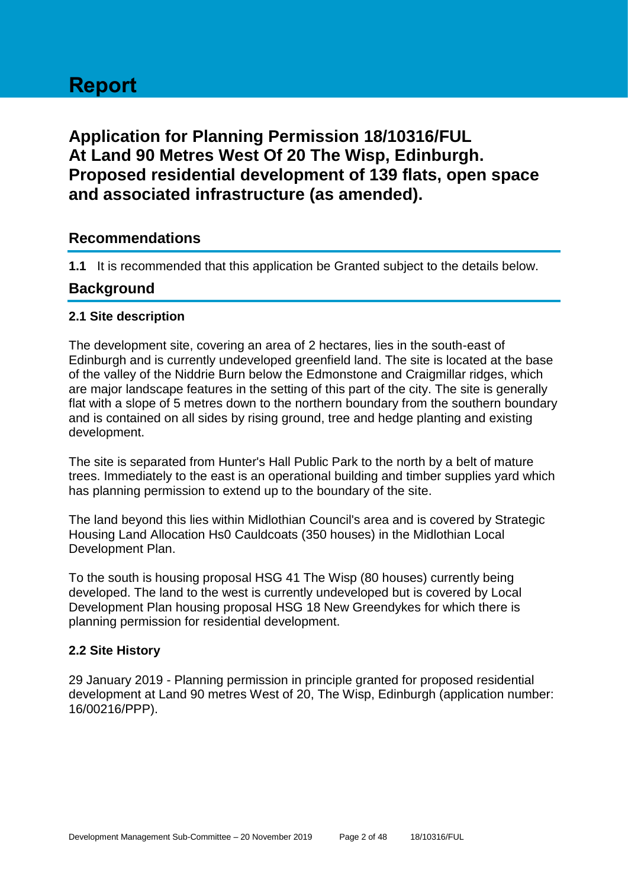# **Report**

# **Application for Planning Permission 18/10316/FUL At Land 90 Metres West Of 20 The Wisp, Edinburgh. Proposed residential development of 139 flats, open space and associated infrastructure (as amended).**

# **Recommendations**

**1.1** It is recommended that this application be Granted subject to the details below.

# **Background**

#### **2.1 Site description**

The development site, covering an area of 2 hectares, lies in the south-east of Edinburgh and is currently undeveloped greenfield land. The site is located at the base of the valley of the Niddrie Burn below the Edmonstone and Craigmillar ridges, which are major landscape features in the setting of this part of the city. The site is generally flat with a slope of 5 metres down to the northern boundary from the southern boundary and is contained on all sides by rising ground, tree and hedge planting and existing development.

The site is separated from Hunter's Hall Public Park to the north by a belt of mature trees. Immediately to the east is an operational building and timber supplies yard which has planning permission to extend up to the boundary of the site.

The land beyond this lies within Midlothian Council's area and is covered by Strategic Housing Land Allocation Hs0 Cauldcoats (350 houses) in the Midlothian Local Development Plan.

To the south is housing proposal HSG 41 The Wisp (80 houses) currently being developed. The land to the west is currently undeveloped but is covered by Local Development Plan housing proposal HSG 18 New Greendykes for which there is planning permission for residential development.

#### **2.2 Site History**

29 January 2019 - Planning permission in principle granted for proposed residential development at Land 90 metres West of 20, The Wisp, Edinburgh (application number: 16/00216/PPP).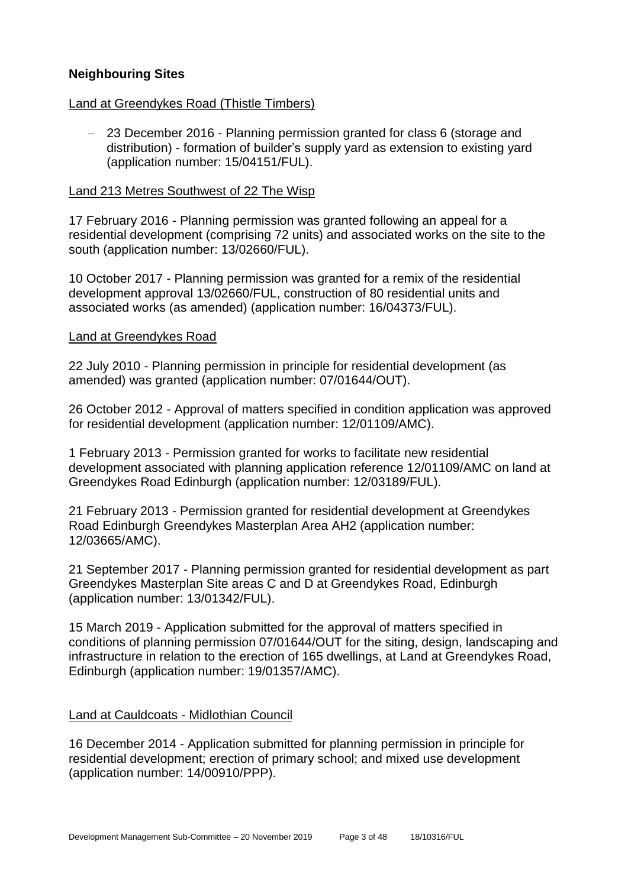#### **Neighbouring Sites**

#### Land at Greendykes Road (Thistle Timbers)

− 23 December 2016 - Planning permission granted for class 6 (storage and distribution) - formation of builder's supply yard as extension to existing yard (application number: 15/04151/FUL).

#### Land 213 Metres Southwest of 22 The Wisp

17 February 2016 - Planning permission was granted following an appeal for a residential development (comprising 72 units) and associated works on the site to the south (application number: 13/02660/FUL).

10 October 2017 - Planning permission was granted for a remix of the residential development approval 13/02660/FUL, construction of 80 residential units and associated works (as amended) (application number: 16/04373/FUL).

#### Land at Greendykes Road

22 July 2010 - Planning permission in principle for residential development (as amended) was granted (application number: 07/01644/OUT).

26 October 2012 - Approval of matters specified in condition application was approved for residential development (application number: 12/01109/AMC).

1 February 2013 - Permission granted for works to facilitate new residential development associated with planning application reference 12/01109/AMC on land at Greendykes Road Edinburgh (application number: 12/03189/FUL).

21 February 2013 - Permission granted for residential development at Greendykes Road Edinburgh Greendykes Masterplan Area AH2 (application number: 12/03665/AMC).

21 September 2017 - Planning permission granted for residential development as part Greendykes Masterplan Site areas C and D at Greendykes Road, Edinburgh (application number: 13/01342/FUL).

15 March 2019 - Application submitted for the approval of matters specified in conditions of planning permission 07/01644/OUT for the siting, design, landscaping and infrastructure in relation to the erection of 165 dwellings, at Land at Greendykes Road, Edinburgh (application number: 19/01357/AMC).

#### Land at Cauldcoats - Midlothian Council

16 December 2014 - Application submitted for planning permission in principle for residential development; erection of primary school; and mixed use development (application number: 14/00910/PPP).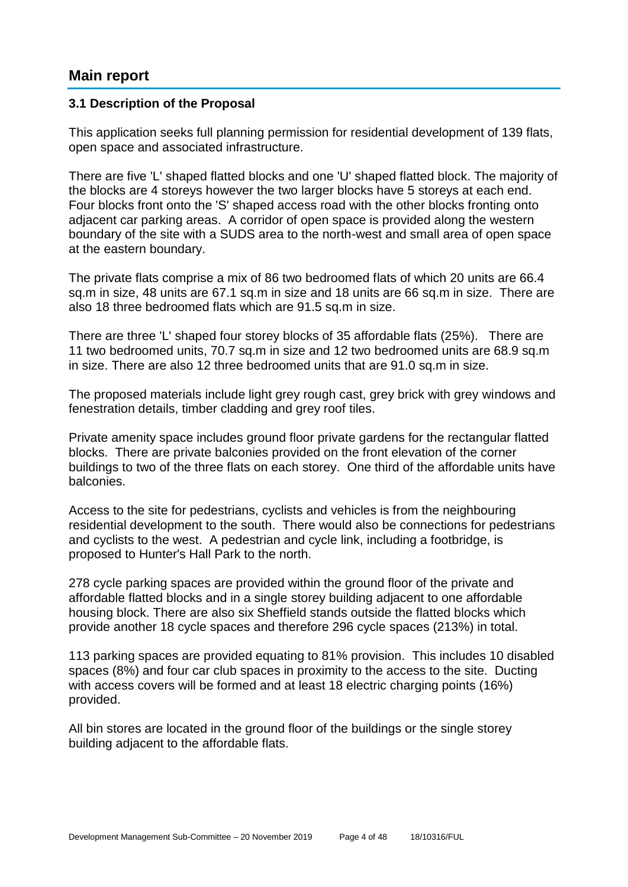# **Main report**

#### **3.1 Description of the Proposal**

This application seeks full planning permission for residential development of 139 flats, open space and associated infrastructure.

There are five 'L' shaped flatted blocks and one 'U' shaped flatted block. The majority of the blocks are 4 storeys however the two larger blocks have 5 storeys at each end. Four blocks front onto the 'S' shaped access road with the other blocks fronting onto adjacent car parking areas. A corridor of open space is provided along the western boundary of the site with a SUDS area to the north-west and small area of open space at the eastern boundary.

The private flats comprise a mix of 86 two bedroomed flats of which 20 units are 66.4 sq.m in size, 48 units are 67.1 sq.m in size and 18 units are 66 sq.m in size. There are also 18 three bedroomed flats which are 91.5 sq.m in size.

There are three 'L' shaped four storey blocks of 35 affordable flats (25%). There are 11 two bedroomed units, 70.7 sq.m in size and 12 two bedroomed units are 68.9 sq.m in size. There are also 12 three bedroomed units that are 91.0 sq.m in size.

The proposed materials include light grey rough cast, grey brick with grey windows and fenestration details, timber cladding and grey roof tiles.

Private amenity space includes ground floor private gardens for the rectangular flatted blocks. There are private balconies provided on the front elevation of the corner buildings to two of the three flats on each storey. One third of the affordable units have balconies.

Access to the site for pedestrians, cyclists and vehicles is from the neighbouring residential development to the south. There would also be connections for pedestrians and cyclists to the west. A pedestrian and cycle link, including a footbridge, is proposed to Hunter's Hall Park to the north.

278 cycle parking spaces are provided within the ground floor of the private and affordable flatted blocks and in a single storey building adjacent to one affordable housing block. There are also six Sheffield stands outside the flatted blocks which provide another 18 cycle spaces and therefore 296 cycle spaces (213%) in total.

113 parking spaces are provided equating to 81% provision. This includes 10 disabled spaces (8%) and four car club spaces in proximity to the access to the site. Ducting with access covers will be formed and at least 18 electric charging points (16%) provided.

All bin stores are located in the ground floor of the buildings or the single storey building adjacent to the affordable flats.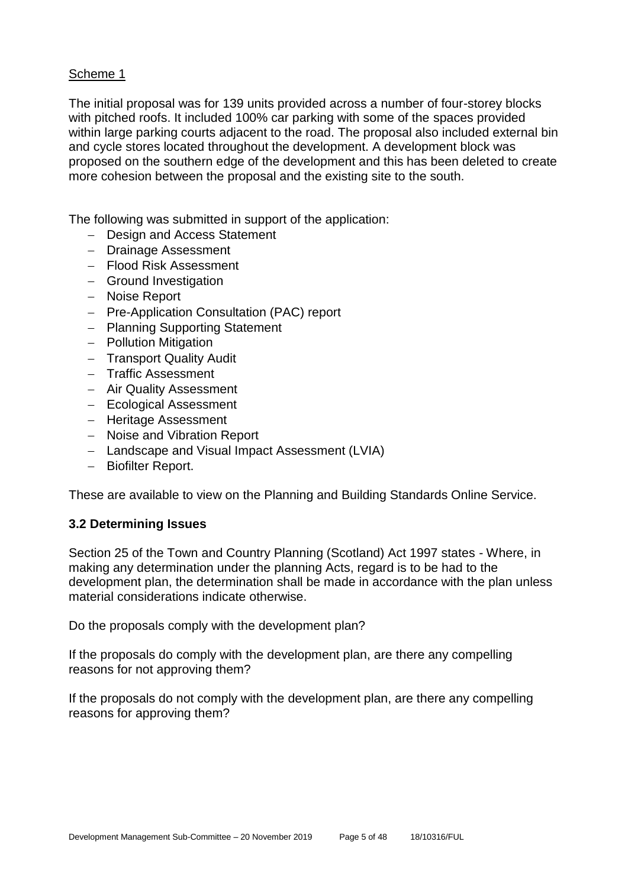#### Scheme 1

The initial proposal was for 139 units provided across a number of four-storey blocks with pitched roofs. It included 100% car parking with some of the spaces provided within large parking courts adjacent to the road. The proposal also included external bin and cycle stores located throughout the development. A development block was proposed on the southern edge of the development and this has been deleted to create more cohesion between the proposal and the existing site to the south.

The following was submitted in support of the application:

- − Design and Access Statement
- − Drainage Assessment
- − Flood Risk Assessment
- − Ground Investigation
- − Noise Report
- − Pre-Application Consultation (PAC) report
- − Planning Supporting Statement
- − Pollution Mitigation
- − Transport Quality Audit
- − Traffic Assessment
- − Air Quality Assessment
- − Ecological Assessment
- − Heritage Assessment
- − Noise and Vibration Report
- − Landscape and Visual Impact Assessment (LVIA)
- − Biofilter Report.

These are available to view on the Planning and Building Standards Online Service.

#### **3.2 Determining Issues**

Section 25 of the Town and Country Planning (Scotland) Act 1997 states - Where, in making any determination under the planning Acts, regard is to be had to the development plan, the determination shall be made in accordance with the plan unless material considerations indicate otherwise.

Do the proposals comply with the development plan?

If the proposals do comply with the development plan, are there any compelling reasons for not approving them?

If the proposals do not comply with the development plan, are there any compelling reasons for approving them?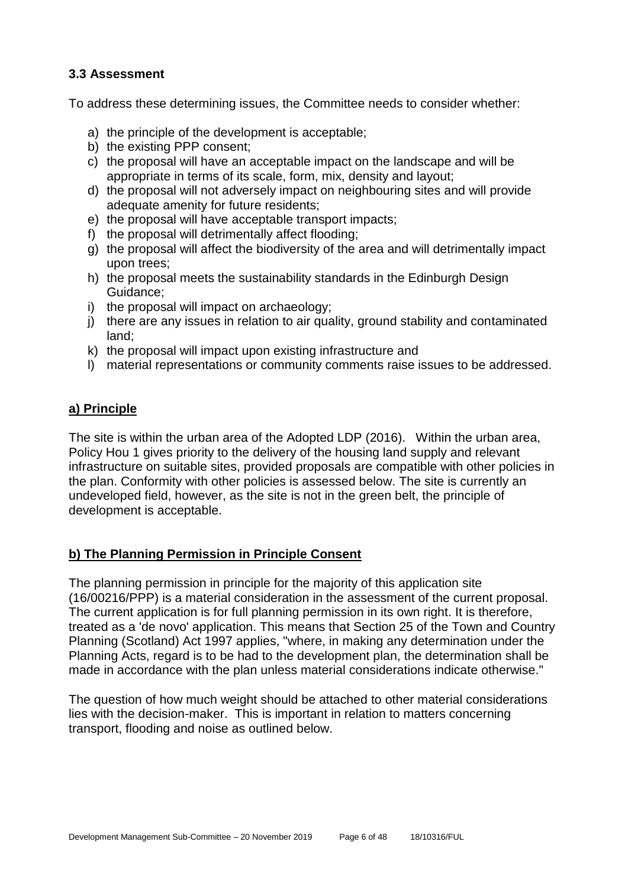#### **3.3 Assessment**

To address these determining issues, the Committee needs to consider whether:

- a) the principle of the development is acceptable;
- b) the existing PPP consent;
- c) the proposal will have an acceptable impact on the landscape and will be appropriate in terms of its scale, form, mix, density and layout;
- d) the proposal will not adversely impact on neighbouring sites and will provide adequate amenity for future residents;
- e) the proposal will have acceptable transport impacts;
- f) the proposal will detrimentally affect flooding;
- g) the proposal will affect the biodiversity of the area and will detrimentally impact upon trees;
- h) the proposal meets the sustainability standards in the Edinburgh Design Guidance;
- i) the proposal will impact on archaeology;
- j) there are any issues in relation to air quality, ground stability and contaminated land;
- k) the proposal will impact upon existing infrastructure and
- l) material representations or community comments raise issues to be addressed.

#### **a) Principle**

The site is within the urban area of the Adopted LDP (2016). Within the urban area, Policy Hou 1 gives priority to the delivery of the housing land supply and relevant infrastructure on suitable sites, provided proposals are compatible with other policies in the plan. Conformity with other policies is assessed below. The site is currently an undeveloped field, however, as the site is not in the green belt, the principle of development is acceptable.

#### **b) The Planning Permission in Principle Consent**

The planning permission in principle for the majority of this application site (16/00216/PPP) is a material consideration in the assessment of the current proposal. The current application is for full planning permission in its own right. It is therefore, treated as a 'de novo' application. This means that Section 25 of the Town and Country Planning (Scotland) Act 1997 applies, "where, in making any determination under the Planning Acts, regard is to be had to the development plan, the determination shall be made in accordance with the plan unless material considerations indicate otherwise."

The question of how much weight should be attached to other material considerations lies with the decision-maker. This is important in relation to matters concerning transport, flooding and noise as outlined below.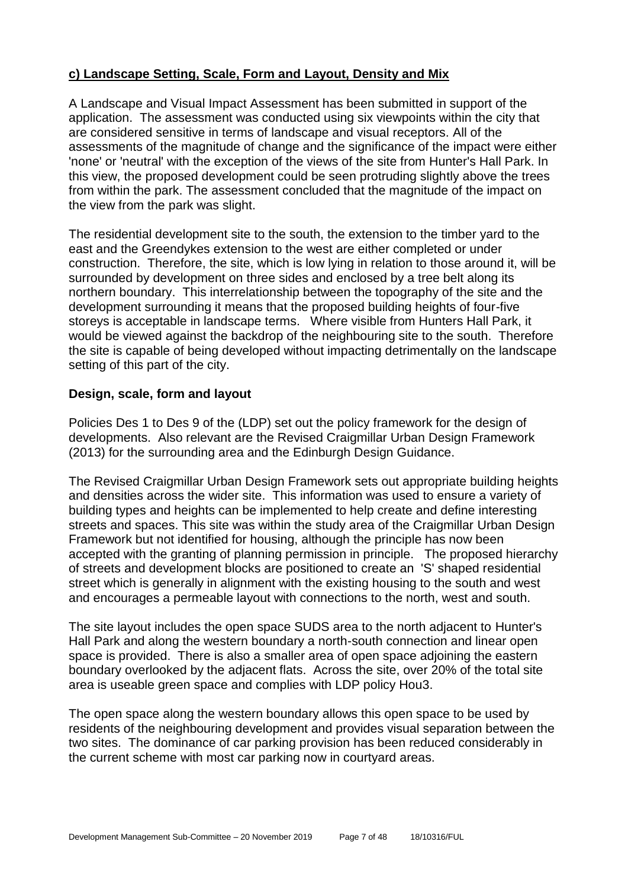#### **c) Landscape Setting, Scale, Form and Layout, Density and Mix**

A Landscape and Visual Impact Assessment has been submitted in support of the application. The assessment was conducted using six viewpoints within the city that are considered sensitive in terms of landscape and visual receptors. All of the assessments of the magnitude of change and the significance of the impact were either 'none' or 'neutral' with the exception of the views of the site from Hunter's Hall Park. In this view, the proposed development could be seen protruding slightly above the trees from within the park. The assessment concluded that the magnitude of the impact on the view from the park was slight.

The residential development site to the south, the extension to the timber yard to the east and the Greendykes extension to the west are either completed or under construction. Therefore, the site, which is low lying in relation to those around it, will be surrounded by development on three sides and enclosed by a tree belt along its northern boundary. This interrelationship between the topography of the site and the development surrounding it means that the proposed building heights of four-five storeys is acceptable in landscape terms. Where visible from Hunters Hall Park, it would be viewed against the backdrop of the neighbouring site to the south. Therefore the site is capable of being developed without impacting detrimentally on the landscape setting of this part of the city.

#### **Design, scale, form and layout**

Policies Des 1 to Des 9 of the (LDP) set out the policy framework for the design of developments. Also relevant are the Revised Craigmillar Urban Design Framework (2013) for the surrounding area and the Edinburgh Design Guidance.

The Revised Craigmillar Urban Design Framework sets out appropriate building heights and densities across the wider site. This information was used to ensure a variety of building types and heights can be implemented to help create and define interesting streets and spaces. This site was within the study area of the Craigmillar Urban Design Framework but not identified for housing, although the principle has now been accepted with the granting of planning permission in principle. The proposed hierarchy of streets and development blocks are positioned to create an 'S' shaped residential street which is generally in alignment with the existing housing to the south and west and encourages a permeable layout with connections to the north, west and south.

The site layout includes the open space SUDS area to the north adjacent to Hunter's Hall Park and along the western boundary a north-south connection and linear open space is provided. There is also a smaller area of open space adjoining the eastern boundary overlooked by the adjacent flats. Across the site, over 20% of the total site area is useable green space and complies with LDP policy Hou3.

The open space along the western boundary allows this open space to be used by residents of the neighbouring development and provides visual separation between the two sites. The dominance of car parking provision has been reduced considerably in the current scheme with most car parking now in courtyard areas.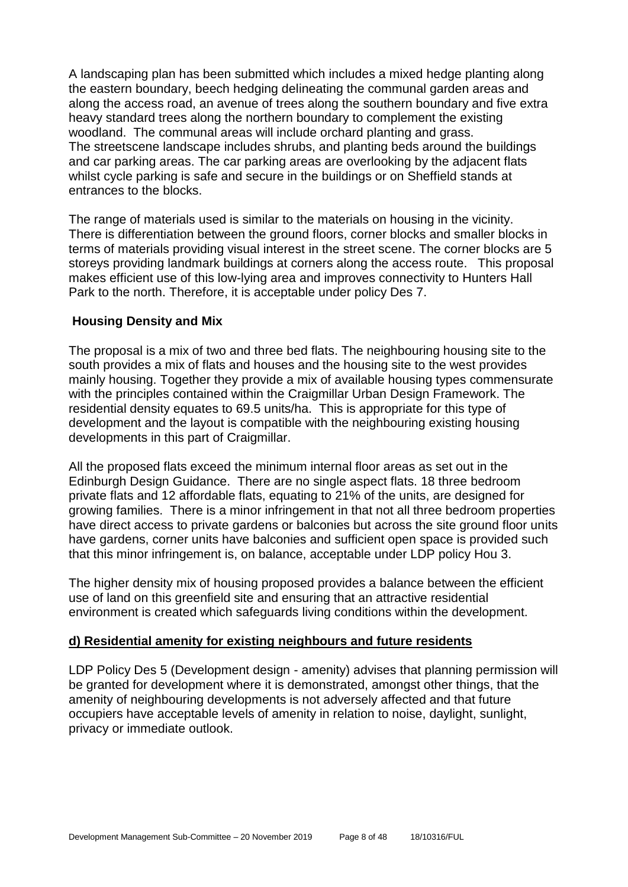A landscaping plan has been submitted which includes a mixed hedge planting along the eastern boundary, beech hedging delineating the communal garden areas and along the access road, an avenue of trees along the southern boundary and five extra heavy standard trees along the northern boundary to complement the existing woodland. The communal areas will include orchard planting and grass. The streetscene landscape includes shrubs, and planting beds around the buildings and car parking areas. The car parking areas are overlooking by the adjacent flats whilst cycle parking is safe and secure in the buildings or on Sheffield stands at entrances to the blocks.

The range of materials used is similar to the materials on housing in the vicinity. There is differentiation between the ground floors, corner blocks and smaller blocks in terms of materials providing visual interest in the street scene. The corner blocks are 5 storeys providing landmark buildings at corners along the access route. This proposal makes efficient use of this low-lying area and improves connectivity to Hunters Hall Park to the north. Therefore, it is acceptable under policy Des 7.

#### **Housing Density and Mix**

The proposal is a mix of two and three bed flats. The neighbouring housing site to the south provides a mix of flats and houses and the housing site to the west provides mainly housing. Together they provide a mix of available housing types commensurate with the principles contained within the Craigmillar Urban Design Framework. The residential density equates to 69.5 units/ha. This is appropriate for this type of development and the layout is compatible with the neighbouring existing housing developments in this part of Craigmillar.

All the proposed flats exceed the minimum internal floor areas as set out in the Edinburgh Design Guidance. There are no single aspect flats. 18 three bedroom private flats and 12 affordable flats, equating to 21% of the units, are designed for growing families. There is a minor infringement in that not all three bedroom properties have direct access to private gardens or balconies but across the site ground floor units have gardens, corner units have balconies and sufficient open space is provided such that this minor infringement is, on balance, acceptable under LDP policy Hou 3.

The higher density mix of housing proposed provides a balance between the efficient use of land on this greenfield site and ensuring that an attractive residential environment is created which safeguards living conditions within the development.

#### **d) Residential amenity for existing neighbours and future residents**

LDP Policy Des 5 (Development design - amenity) advises that planning permission will be granted for development where it is demonstrated, amongst other things, that the amenity of neighbouring developments is not adversely affected and that future occupiers have acceptable levels of amenity in relation to noise, daylight, sunlight, privacy or immediate outlook.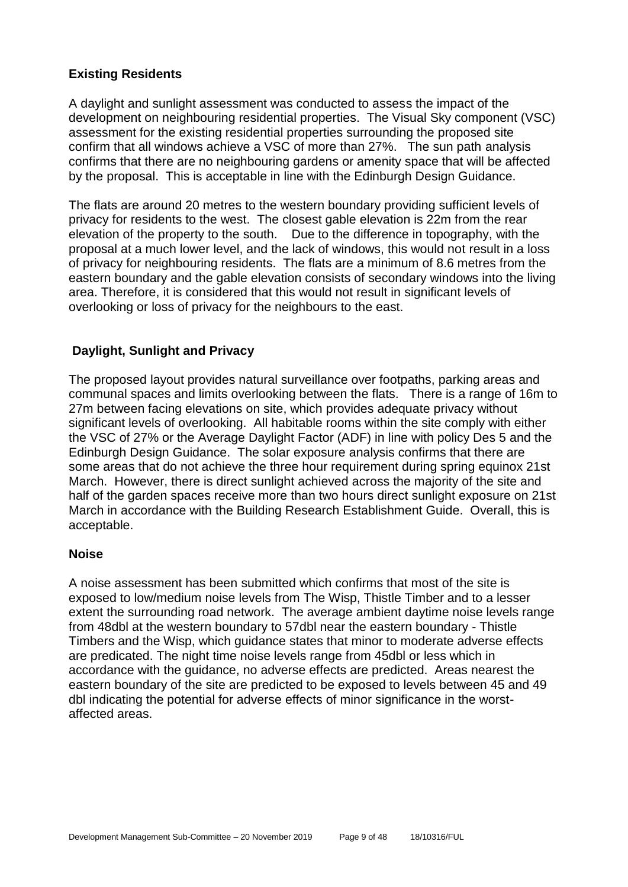#### **Existing Residents**

A daylight and sunlight assessment was conducted to assess the impact of the development on neighbouring residential properties. The Visual Sky component (VSC) assessment for the existing residential properties surrounding the proposed site confirm that all windows achieve a VSC of more than 27%. The sun path analysis confirms that there are no neighbouring gardens or amenity space that will be affected by the proposal. This is acceptable in line with the Edinburgh Design Guidance.

The flats are around 20 metres to the western boundary providing sufficient levels of privacy for residents to the west. The closest gable elevation is 22m from the rear elevation of the property to the south. Due to the difference in topography, with the proposal at a much lower level, and the lack of windows, this would not result in a loss of privacy for neighbouring residents. The flats are a minimum of 8.6 metres from the eastern boundary and the gable elevation consists of secondary windows into the living area. Therefore, it is considered that this would not result in significant levels of overlooking or loss of privacy for the neighbours to the east.

#### **Daylight, Sunlight and Privacy**

The proposed layout provides natural surveillance over footpaths, parking areas and communal spaces and limits overlooking between the flats. There is a range of 16m to 27m between facing elevations on site, which provides adequate privacy without significant levels of overlooking. All habitable rooms within the site comply with either the VSC of 27% or the Average Daylight Factor (ADF) in line with policy Des 5 and the Edinburgh Design Guidance. The solar exposure analysis confirms that there are some areas that do not achieve the three hour requirement during spring equinox 21st March. However, there is direct sunlight achieved across the majority of the site and half of the garden spaces receive more than two hours direct sunlight exposure on 21st March in accordance with the Building Research Establishment Guide. Overall, this is acceptable.

#### **Noise**

A noise assessment has been submitted which confirms that most of the site is exposed to low/medium noise levels from The Wisp, Thistle Timber and to a lesser extent the surrounding road network. The average ambient daytime noise levels range from 48dbl at the western boundary to 57dbl near the eastern boundary - Thistle Timbers and the Wisp, which guidance states that minor to moderate adverse effects are predicated. The night time noise levels range from 45dbl or less which in accordance with the guidance, no adverse effects are predicted. Areas nearest the eastern boundary of the site are predicted to be exposed to levels between 45 and 49 dbl indicating the potential for adverse effects of minor significance in the worstaffected areas.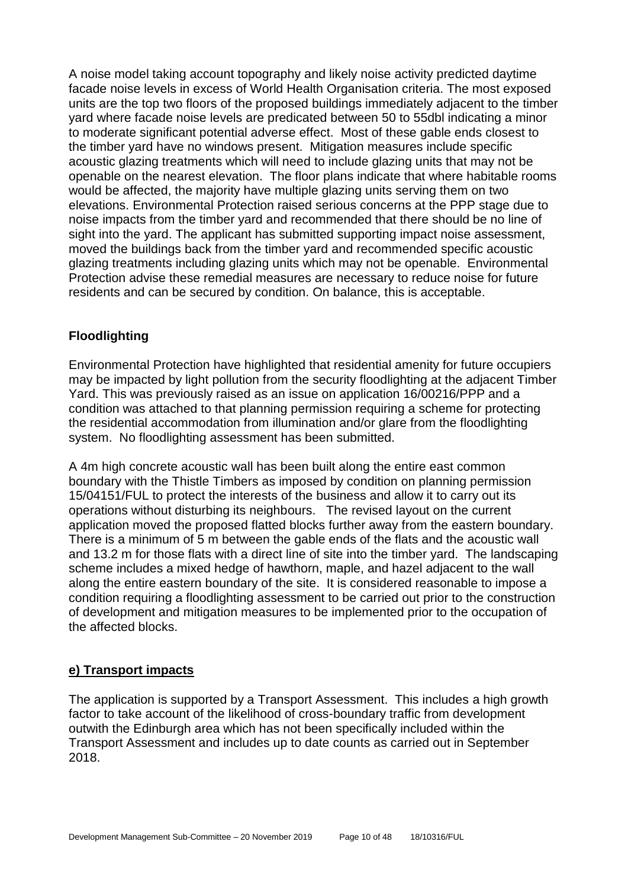A noise model taking account topography and likely noise activity predicted daytime facade noise levels in excess of World Health Organisation criteria. The most exposed units are the top two floors of the proposed buildings immediately adjacent to the timber yard where facade noise levels are predicated between 50 to 55dbl indicating a minor to moderate significant potential adverse effect. Most of these gable ends closest to the timber yard have no windows present. Mitigation measures include specific acoustic glazing treatments which will need to include glazing units that may not be openable on the nearest elevation. The floor plans indicate that where habitable rooms would be affected, the majority have multiple glazing units serving them on two elevations. Environmental Protection raised serious concerns at the PPP stage due to noise impacts from the timber yard and recommended that there should be no line of sight into the yard. The applicant has submitted supporting impact noise assessment, moved the buildings back from the timber yard and recommended specific acoustic glazing treatments including glazing units which may not be openable. Environmental Protection advise these remedial measures are necessary to reduce noise for future residents and can be secured by condition. On balance, this is acceptable.

#### **Floodlighting**

Environmental Protection have highlighted that residential amenity for future occupiers may be impacted by light pollution from the security floodlighting at the adjacent Timber Yard. This was previously raised as an issue on application 16/00216/PPP and a condition was attached to that planning permission requiring a scheme for protecting the residential accommodation from illumination and/or glare from the floodlighting system. No floodlighting assessment has been submitted.

A 4m high concrete acoustic wall has been built along the entire east common boundary with the Thistle Timbers as imposed by condition on planning permission 15/04151/FUL to protect the interests of the business and allow it to carry out its operations without disturbing its neighbours. The revised layout on the current application moved the proposed flatted blocks further away from the eastern boundary. There is a minimum of 5 m between the gable ends of the flats and the acoustic wall and 13.2 m for those flats with a direct line of site into the timber yard. The landscaping scheme includes a mixed hedge of hawthorn, maple, and hazel adjacent to the wall along the entire eastern boundary of the site. It is considered reasonable to impose a condition requiring a floodlighting assessment to be carried out prior to the construction of development and mitigation measures to be implemented prior to the occupation of the affected blocks.

#### **e) Transport impacts**

The application is supported by a Transport Assessment. This includes a high growth factor to take account of the likelihood of cross-boundary traffic from development outwith the Edinburgh area which has not been specifically included within the Transport Assessment and includes up to date counts as carried out in September 2018.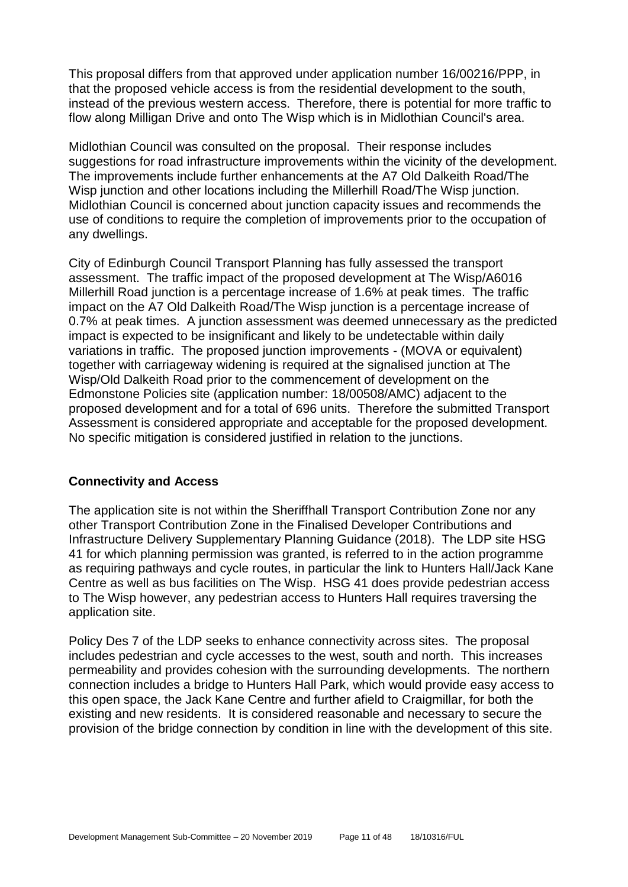This proposal differs from that approved under application number 16/00216/PPP, in that the proposed vehicle access is from the residential development to the south, instead of the previous western access. Therefore, there is potential for more traffic to flow along Milligan Drive and onto The Wisp which is in Midlothian Council's area.

Midlothian Council was consulted on the proposal. Their response includes suggestions for road infrastructure improvements within the vicinity of the development. The improvements include further enhancements at the A7 Old Dalkeith Road/The Wisp junction and other locations including the Millerhill Road/The Wisp junction. Midlothian Council is concerned about junction capacity issues and recommends the use of conditions to require the completion of improvements prior to the occupation of any dwellings.

City of Edinburgh Council Transport Planning has fully assessed the transport assessment. The traffic impact of the proposed development at The Wisp/A6016 Millerhill Road junction is a percentage increase of 1.6% at peak times. The traffic impact on the A7 Old Dalkeith Road/The Wisp junction is a percentage increase of 0.7% at peak times. A junction assessment was deemed unnecessary as the predicted impact is expected to be insignificant and likely to be undetectable within daily variations in traffic. The proposed junction improvements - (MOVA or equivalent) together with carriageway widening is required at the signalised junction at The Wisp/Old Dalkeith Road prior to the commencement of development on the Edmonstone Policies site (application number: 18/00508/AMC) adjacent to the proposed development and for a total of 696 units. Therefore the submitted Transport Assessment is considered appropriate and acceptable for the proposed development. No specific mitigation is considered justified in relation to the junctions.

#### **Connectivity and Access**

The application site is not within the Sheriffhall Transport Contribution Zone nor any other Transport Contribution Zone in the Finalised Developer Contributions and Infrastructure Delivery Supplementary Planning Guidance (2018). The LDP site HSG 41 for which planning permission was granted, is referred to in the action programme as requiring pathways and cycle routes, in particular the link to Hunters Hall/Jack Kane Centre as well as bus facilities on The Wisp. HSG 41 does provide pedestrian access to The Wisp however, any pedestrian access to Hunters Hall requires traversing the application site.

Policy Des 7 of the LDP seeks to enhance connectivity across sites. The proposal includes pedestrian and cycle accesses to the west, south and north. This increases permeability and provides cohesion with the surrounding developments. The northern connection includes a bridge to Hunters Hall Park, which would provide easy access to this open space, the Jack Kane Centre and further afield to Craigmillar, for both the existing and new residents. It is considered reasonable and necessary to secure the provision of the bridge connection by condition in line with the development of this site.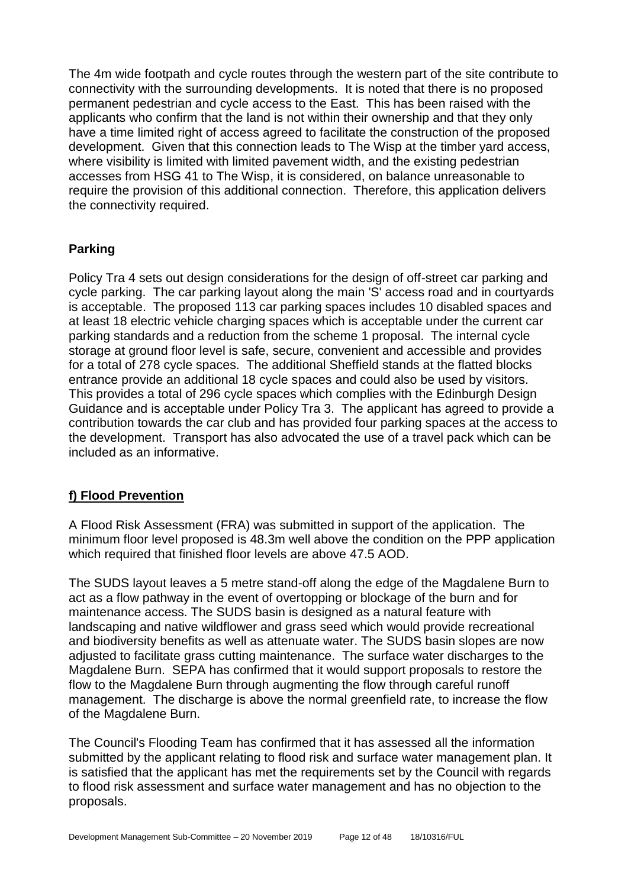The 4m wide footpath and cycle routes through the western part of the site contribute to connectivity with the surrounding developments. It is noted that there is no proposed permanent pedestrian and cycle access to the East. This has been raised with the applicants who confirm that the land is not within their ownership and that they only have a time limited right of access agreed to facilitate the construction of the proposed development. Given that this connection leads to The Wisp at the timber yard access, where visibility is limited with limited pavement width, and the existing pedestrian accesses from HSG 41 to The Wisp, it is considered, on balance unreasonable to require the provision of this additional connection. Therefore, this application delivers the connectivity required.

#### **Parking**

Policy Tra 4 sets out design considerations for the design of off-street car parking and cycle parking. The car parking layout along the main 'S' access road and in courtyards is acceptable. The proposed 113 car parking spaces includes 10 disabled spaces and at least 18 electric vehicle charging spaces which is acceptable under the current car parking standards and a reduction from the scheme 1 proposal. The internal cycle storage at ground floor level is safe, secure, convenient and accessible and provides for a total of 278 cycle spaces. The additional Sheffield stands at the flatted blocks entrance provide an additional 18 cycle spaces and could also be used by visitors. This provides a total of 296 cycle spaces which complies with the Edinburgh Design Guidance and is acceptable under Policy Tra 3. The applicant has agreed to provide a contribution towards the car club and has provided four parking spaces at the access to the development. Transport has also advocated the use of a travel pack which can be included as an informative.

#### **f) Flood Prevention**

A Flood Risk Assessment (FRA) was submitted in support of the application. The minimum floor level proposed is 48.3m well above the condition on the PPP application which required that finished floor levels are above 47.5 AOD.

The SUDS layout leaves a 5 metre stand-off along the edge of the Magdalene Burn to act as a flow pathway in the event of overtopping or blockage of the burn and for maintenance access. The SUDS basin is designed as a natural feature with landscaping and native wildflower and grass seed which would provide recreational and biodiversity benefits as well as attenuate water. The SUDS basin slopes are now adjusted to facilitate grass cutting maintenance. The surface water discharges to the Magdalene Burn. SEPA has confirmed that it would support proposals to restore the flow to the Magdalene Burn through augmenting the flow through careful runoff management. The discharge is above the normal greenfield rate, to increase the flow of the Magdalene Burn.

The Council's Flooding Team has confirmed that it has assessed all the information submitted by the applicant relating to flood risk and surface water management plan. It is satisfied that the applicant has met the requirements set by the Council with regards to flood risk assessment and surface water management and has no objection to the proposals.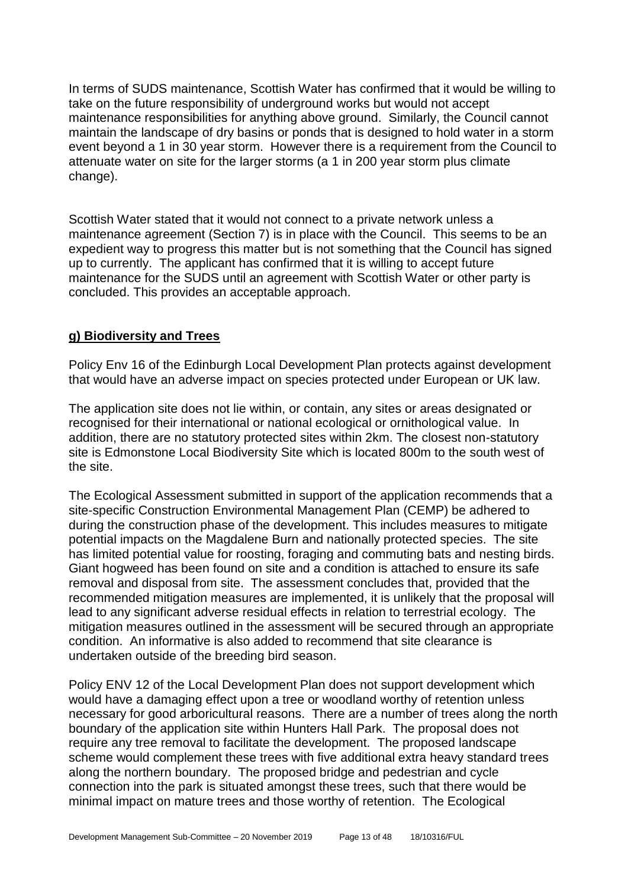In terms of SUDS maintenance, Scottish Water has confirmed that it would be willing to take on the future responsibility of underground works but would not accept maintenance responsibilities for anything above ground. Similarly, the Council cannot maintain the landscape of dry basins or ponds that is designed to hold water in a storm event beyond a 1 in 30 year storm. However there is a requirement from the Council to attenuate water on site for the larger storms (a 1 in 200 year storm plus climate change).

Scottish Water stated that it would not connect to a private network unless a maintenance agreement (Section 7) is in place with the Council. This seems to be an expedient way to progress this matter but is not something that the Council has signed up to currently. The applicant has confirmed that it is willing to accept future maintenance for the SUDS until an agreement with Scottish Water or other party is concluded. This provides an acceptable approach.

#### **g) Biodiversity and Trees**

Policy Env 16 of the Edinburgh Local Development Plan protects against development that would have an adverse impact on species protected under European or UK law.

The application site does not lie within, or contain, any sites or areas designated or recognised for their international or national ecological or ornithological value. In addition, there are no statutory protected sites within 2km. The closest non-statutory site is Edmonstone Local Biodiversity Site which is located 800m to the south west of the site.

The Ecological Assessment submitted in support of the application recommends that a site-specific Construction Environmental Management Plan (CEMP) be adhered to during the construction phase of the development. This includes measures to mitigate potential impacts on the Magdalene Burn and nationally protected species. The site has limited potential value for roosting, foraging and commuting bats and nesting birds. Giant hogweed has been found on site and a condition is attached to ensure its safe removal and disposal from site. The assessment concludes that, provided that the recommended mitigation measures are implemented, it is unlikely that the proposal will lead to any significant adverse residual effects in relation to terrestrial ecology. The mitigation measures outlined in the assessment will be secured through an appropriate condition. An informative is also added to recommend that site clearance is undertaken outside of the breeding bird season.

Policy ENV 12 of the Local Development Plan does not support development which would have a damaging effect upon a tree or woodland worthy of retention unless necessary for good arboricultural reasons. There are a number of trees along the north boundary of the application site within Hunters Hall Park. The proposal does not require any tree removal to facilitate the development. The proposed landscape scheme would complement these trees with five additional extra heavy standard trees along the northern boundary. The proposed bridge and pedestrian and cycle connection into the park is situated amongst these trees, such that there would be minimal impact on mature trees and those worthy of retention. The Ecological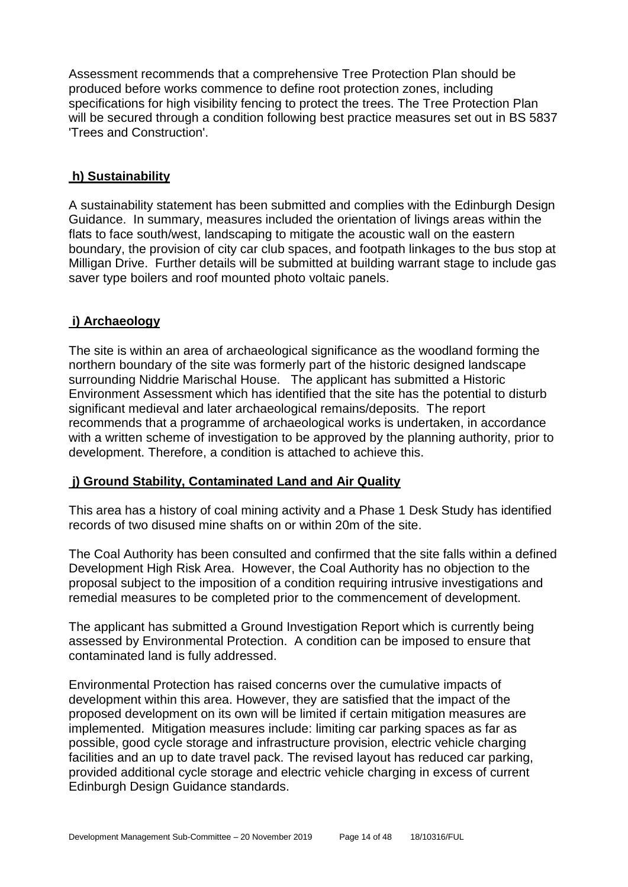Assessment recommends that a comprehensive Tree Protection Plan should be produced before works commence to define root protection zones, including specifications for high visibility fencing to protect the trees. The Tree Protection Plan will be secured through a condition following best practice measures set out in BS 5837 'Trees and Construction'.

#### **h) Sustainability**

A sustainability statement has been submitted and complies with the Edinburgh Design Guidance. In summary, measures included the orientation of livings areas within the flats to face south/west, landscaping to mitigate the acoustic wall on the eastern boundary, the provision of city car club spaces, and footpath linkages to the bus stop at Milligan Drive. Further details will be submitted at building warrant stage to include gas saver type boilers and roof mounted photo voltaic panels.

#### **i) Archaeology**

The site is within an area of archaeological significance as the woodland forming the northern boundary of the site was formerly part of the historic designed landscape surrounding Niddrie Marischal House. The applicant has submitted a Historic Environment Assessment which has identified that the site has the potential to disturb significant medieval and later archaeological remains/deposits. The report recommends that a programme of archaeological works is undertaken, in accordance with a written scheme of investigation to be approved by the planning authority, prior to development. Therefore, a condition is attached to achieve this.

#### **j) Ground Stability, Contaminated Land and Air Quality**

This area has a history of coal mining activity and a Phase 1 Desk Study has identified records of two disused mine shafts on or within 20m of the site.

The Coal Authority has been consulted and confirmed that the site falls within a defined Development High Risk Area. However, the Coal Authority has no objection to the proposal subject to the imposition of a condition requiring intrusive investigations and remedial measures to be completed prior to the commencement of development.

The applicant has submitted a Ground Investigation Report which is currently being assessed by Environmental Protection. A condition can be imposed to ensure that contaminated land is fully addressed.

Environmental Protection has raised concerns over the cumulative impacts of development within this area. However, they are satisfied that the impact of the proposed development on its own will be limited if certain mitigation measures are implemented. Mitigation measures include: limiting car parking spaces as far as possible, good cycle storage and infrastructure provision, electric vehicle charging facilities and an up to date travel pack. The revised layout has reduced car parking, provided additional cycle storage and electric vehicle charging in excess of current Edinburgh Design Guidance standards.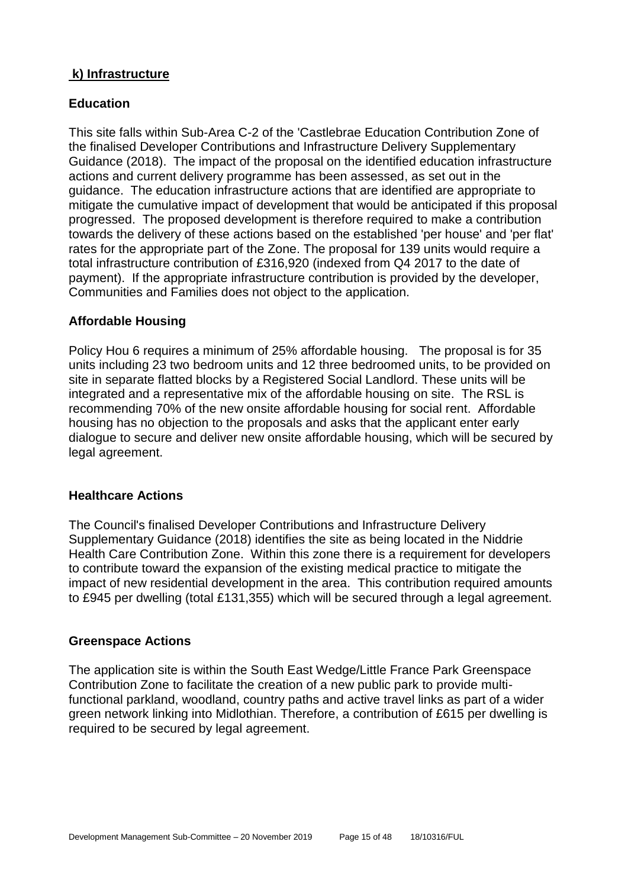#### **k) Infrastructure**

#### **Education**

This site falls within Sub-Area C-2 of the 'Castlebrae Education Contribution Zone of the finalised Developer Contributions and Infrastructure Delivery Supplementary Guidance (2018). The impact of the proposal on the identified education infrastructure actions and current delivery programme has been assessed, as set out in the guidance. The education infrastructure actions that are identified are appropriate to mitigate the cumulative impact of development that would be anticipated if this proposal progressed. The proposed development is therefore required to make a contribution towards the delivery of these actions based on the established 'per house' and 'per flat' rates for the appropriate part of the Zone. The proposal for 139 units would require a total infrastructure contribution of £316,920 (indexed from Q4 2017 to the date of payment). If the appropriate infrastructure contribution is provided by the developer, Communities and Families does not object to the application.

#### **Affordable Housing**

Policy Hou 6 requires a minimum of 25% affordable housing. The proposal is for 35 units including 23 two bedroom units and 12 three bedroomed units, to be provided on site in separate flatted blocks by a Registered Social Landlord. These units will be integrated and a representative mix of the affordable housing on site. The RSL is recommending 70% of the new onsite affordable housing for social rent. Affordable housing has no objection to the proposals and asks that the applicant enter early dialogue to secure and deliver new onsite affordable housing, which will be secured by legal agreement.

#### **Healthcare Actions**

The Council's finalised Developer Contributions and Infrastructure Delivery Supplementary Guidance (2018) identifies the site as being located in the Niddrie Health Care Contribution Zone. Within this zone there is a requirement for developers to contribute toward the expansion of the existing medical practice to mitigate the impact of new residential development in the area. This contribution required amounts to £945 per dwelling (total £131,355) which will be secured through a legal agreement.

#### **Greenspace Actions**

The application site is within the South East Wedge/Little France Park Greenspace Contribution Zone to facilitate the creation of a new public park to provide multifunctional parkland, woodland, country paths and active travel links as part of a wider green network linking into Midlothian. Therefore, a contribution of £615 per dwelling is required to be secured by legal agreement.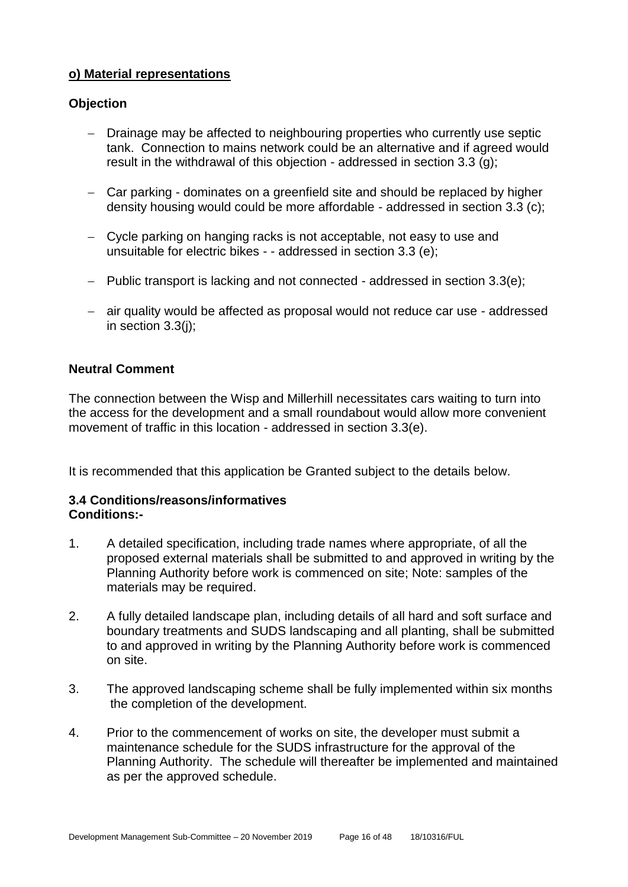#### **o) Material representations**

#### **Objection**

- Drainage may be affected to neighbouring properties who currently use septic tank. Connection to mains network could be an alternative and if agreed would result in the withdrawal of this objection - addressed in section 3.3 (g);
- − Car parking dominates on a greenfield site and should be replaced by higher density housing would could be more affordable - addressed in section 3.3 (c);
- − Cycle parking on hanging racks is not acceptable, not easy to use and unsuitable for electric bikes - - addressed in section 3.3 (e);
- − Public transport is lacking and not connected addressed in section 3.3(e);
- − air quality would be affected as proposal would not reduce car use addressed in section 3.3(j);

#### **Neutral Comment**

The connection between the Wisp and Millerhill necessitates cars waiting to turn into the access for the development and a small roundabout would allow more convenient movement of traffic in this location - addressed in section 3.3(e).

It is recommended that this application be Granted subject to the details below.

#### **3.4 Conditions/reasons/informatives Conditions:-**

- 1. A detailed specification, including trade names where appropriate, of all the proposed external materials shall be submitted to and approved in writing by the Planning Authority before work is commenced on site; Note: samples of the materials may be required.
- 2. A fully detailed landscape plan, including details of all hard and soft surface and boundary treatments and SUDS landscaping and all planting, shall be submitted to and approved in writing by the Planning Authority before work is commenced on site.
- 3. The approved landscaping scheme shall be fully implemented within six months the completion of the development.
- 4. Prior to the commencement of works on site, the developer must submit a maintenance schedule for the SUDS infrastructure for the approval of the Planning Authority. The schedule will thereafter be implemented and maintained as per the approved schedule.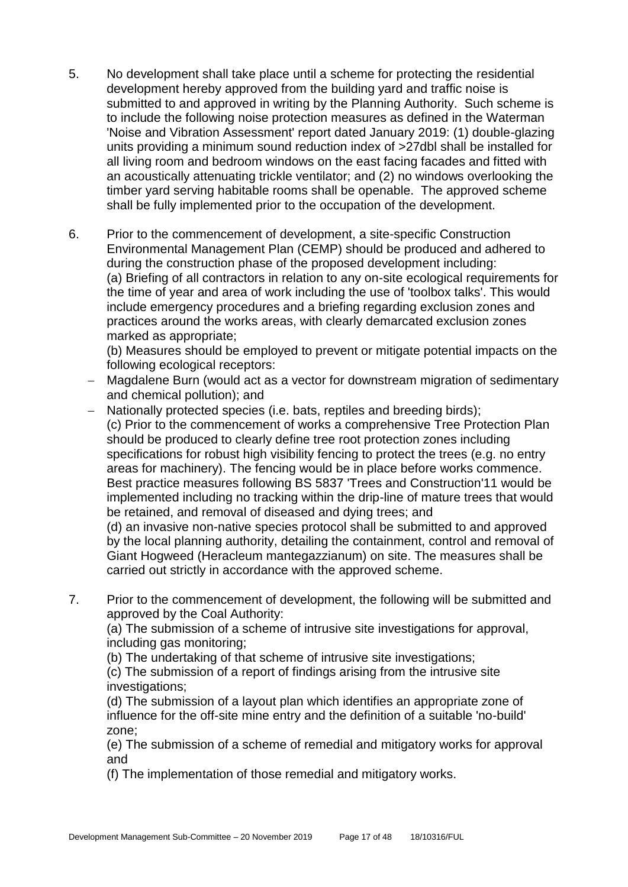- 5. No development shall take place until a scheme for protecting the residential development hereby approved from the building yard and traffic noise is submitted to and approved in writing by the Planning Authority. Such scheme is to include the following noise protection measures as defined in the Waterman 'Noise and Vibration Assessment' report dated January 2019: (1) double-glazing units providing a minimum sound reduction index of >27dbl shall be installed for all living room and bedroom windows on the east facing facades and fitted with an acoustically attenuating trickle ventilator; and (2) no windows overlooking the timber yard serving habitable rooms shall be openable. The approved scheme shall be fully implemented prior to the occupation of the development.
- 6. Prior to the commencement of development, a site-specific Construction Environmental Management Plan (CEMP) should be produced and adhered to during the construction phase of the proposed development including: (a) Briefing of all contractors in relation to any on-site ecological requirements for the time of year and area of work including the use of 'toolbox talks'. This would include emergency procedures and a briefing regarding exclusion zones and practices around the works areas, with clearly demarcated exclusion zones marked as appropriate;

(b) Measures should be employed to prevent or mitigate potential impacts on the following ecological receptors:

- − Magdalene Burn (would act as a vector for downstream migration of sedimentary and chemical pollution); and
- − Nationally protected species (i.e. bats, reptiles and breeding birds); (c) Prior to the commencement of works a comprehensive Tree Protection Plan should be produced to clearly define tree root protection zones including specifications for robust high visibility fencing to protect the trees (e.g. no entry areas for machinery). The fencing would be in place before works commence. Best practice measures following BS 5837 'Trees and Construction'11 would be implemented including no tracking within the drip-line of mature trees that would be retained, and removal of diseased and dying trees; and

(d) an invasive non-native species protocol shall be submitted to and approved by the local planning authority, detailing the containment, control and removal of Giant Hogweed (Heracleum mantegazzianum) on site. The measures shall be carried out strictly in accordance with the approved scheme.

7. Prior to the commencement of development, the following will be submitted and approved by the Coal Authority:

(a) The submission of a scheme of intrusive site investigations for approval, including gas monitoring;

(b) The undertaking of that scheme of intrusive site investigations;

(c) The submission of a report of findings arising from the intrusive site investigations;

(d) The submission of a layout plan which identifies an appropriate zone of influence for the off-site mine entry and the definition of a suitable 'no-build' zone;

(e) The submission of a scheme of remedial and mitigatory works for approval and

(f) The implementation of those remedial and mitigatory works.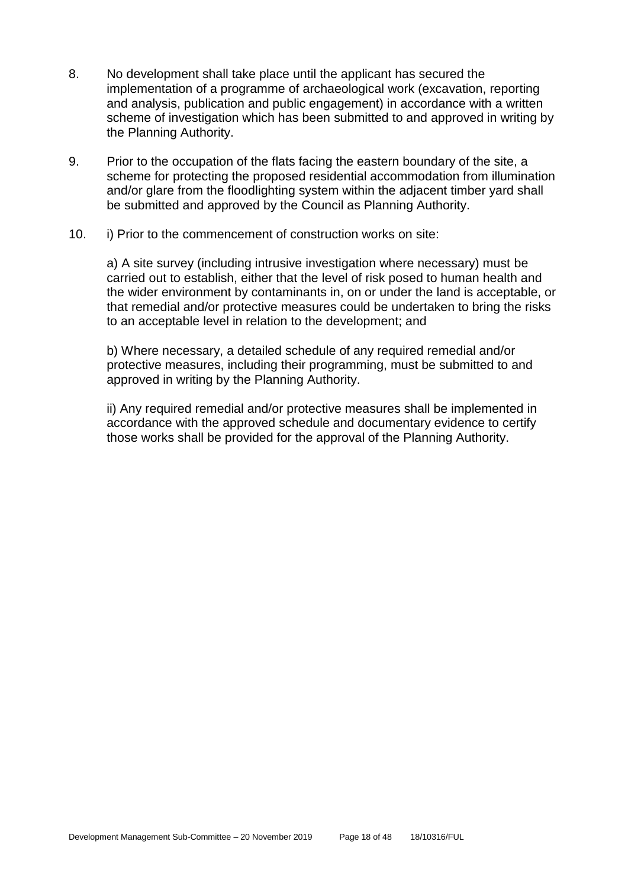- 8. No development shall take place until the applicant has secured the implementation of a programme of archaeological work (excavation, reporting and analysis, publication and public engagement) in accordance with a written scheme of investigation which has been submitted to and approved in writing by the Planning Authority.
- 9. Prior to the occupation of the flats facing the eastern boundary of the site, a scheme for protecting the proposed residential accommodation from illumination and/or glare from the floodlighting system within the adjacent timber yard shall be submitted and approved by the Council as Planning Authority.
- 10. i) Prior to the commencement of construction works on site:

a) A site survey (including intrusive investigation where necessary) must be carried out to establish, either that the level of risk posed to human health and the wider environment by contaminants in, on or under the land is acceptable, or that remedial and/or protective measures could be undertaken to bring the risks to an acceptable level in relation to the development; and

b) Where necessary, a detailed schedule of any required remedial and/or protective measures, including their programming, must be submitted to and approved in writing by the Planning Authority.

ii) Any required remedial and/or protective measures shall be implemented in accordance with the approved schedule and documentary evidence to certify those works shall be provided for the approval of the Planning Authority.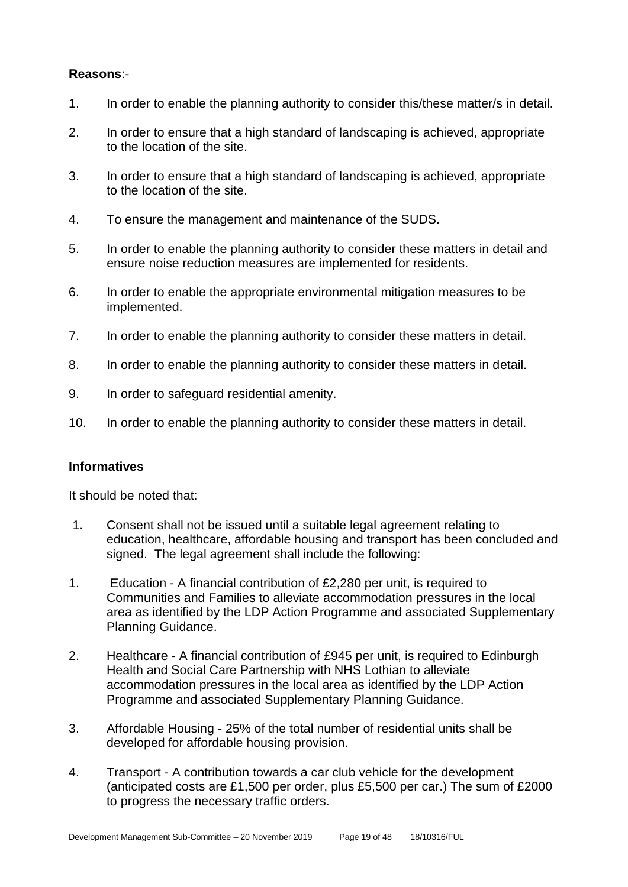#### **Reasons**:-

- 1. In order to enable the planning authority to consider this/these matter/s in detail.
- 2. In order to ensure that a high standard of landscaping is achieved, appropriate to the location of the site.
- 3. In order to ensure that a high standard of landscaping is achieved, appropriate to the location of the site.
- 4. To ensure the management and maintenance of the SUDS.
- 5. In order to enable the planning authority to consider these matters in detail and ensure noise reduction measures are implemented for residents.
- 6. In order to enable the appropriate environmental mitigation measures to be implemented.
- 7. In order to enable the planning authority to consider these matters in detail.
- 8. In order to enable the planning authority to consider these matters in detail.
- 9. In order to safeguard residential amenity.
- 10. In order to enable the planning authority to consider these matters in detail.

#### **Informatives**

It should be noted that:

- 1. Consent shall not be issued until a suitable legal agreement relating to education, healthcare, affordable housing and transport has been concluded and signed. The legal agreement shall include the following:
- 1. Education A financial contribution of £2,280 per unit, is required to Communities and Families to alleviate accommodation pressures in the local area as identified by the LDP Action Programme and associated Supplementary Planning Guidance.
- 2. Healthcare A financial contribution of £945 per unit, is required to Edinburgh Health and Social Care Partnership with NHS Lothian to alleviate accommodation pressures in the local area as identified by the LDP Action Programme and associated Supplementary Planning Guidance.
- 3. Affordable Housing 25% of the total number of residential units shall be developed for affordable housing provision.
- 4. Transport A contribution towards a car club vehicle for the development (anticipated costs are £1,500 per order, plus £5,500 per car.) The sum of £2000 to progress the necessary traffic orders.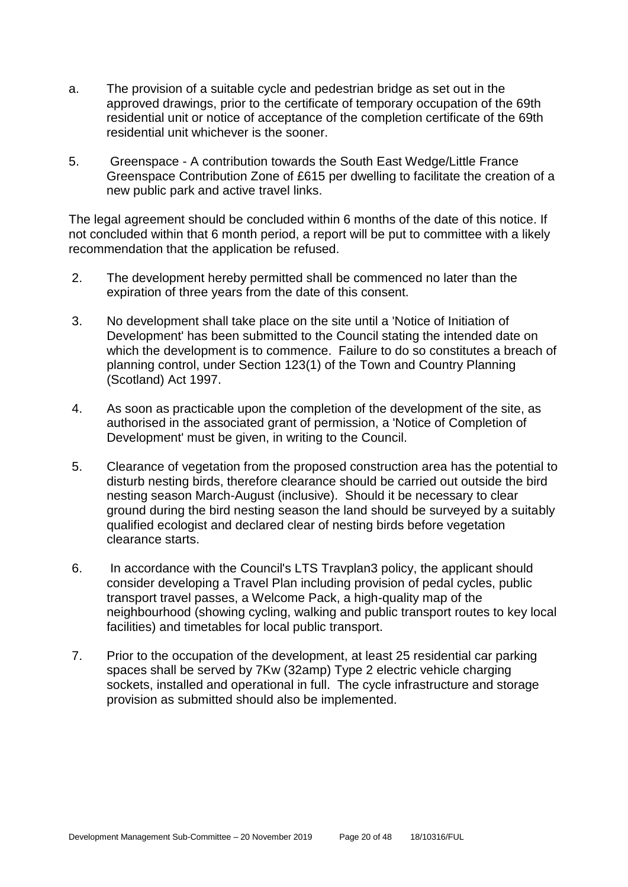- a. The provision of a suitable cycle and pedestrian bridge as set out in the approved drawings, prior to the certificate of temporary occupation of the 69th residential unit or notice of acceptance of the completion certificate of the 69th residential unit whichever is the sooner.
- 5. Greenspace A contribution towards the South East Wedge/Little France Greenspace Contribution Zone of £615 per dwelling to facilitate the creation of a new public park and active travel links.

The legal agreement should be concluded within 6 months of the date of this notice. If not concluded within that 6 month period, a report will be put to committee with a likely recommendation that the application be refused.

- 2. The development hereby permitted shall be commenced no later than the expiration of three years from the date of this consent.
- 3. No development shall take place on the site until a 'Notice of Initiation of Development' has been submitted to the Council stating the intended date on which the development is to commence. Failure to do so constitutes a breach of planning control, under Section 123(1) of the Town and Country Planning (Scotland) Act 1997.
- 4. As soon as practicable upon the completion of the development of the site, as authorised in the associated grant of permission, a 'Notice of Completion of Development' must be given, in writing to the Council.
- 5. Clearance of vegetation from the proposed construction area has the potential to disturb nesting birds, therefore clearance should be carried out outside the bird nesting season March-August (inclusive). Should it be necessary to clear ground during the bird nesting season the land should be surveyed by a suitably qualified ecologist and declared clear of nesting birds before vegetation clearance starts.
- 6. In accordance with the Council's LTS Travplan3 policy, the applicant should consider developing a Travel Plan including provision of pedal cycles, public transport travel passes, a Welcome Pack, a high-quality map of the neighbourhood (showing cycling, walking and public transport routes to key local facilities) and timetables for local public transport.
- 7. Prior to the occupation of the development, at least 25 residential car parking spaces shall be served by 7Kw (32amp) Type 2 electric vehicle charging sockets, installed and operational in full. The cycle infrastructure and storage provision as submitted should also be implemented.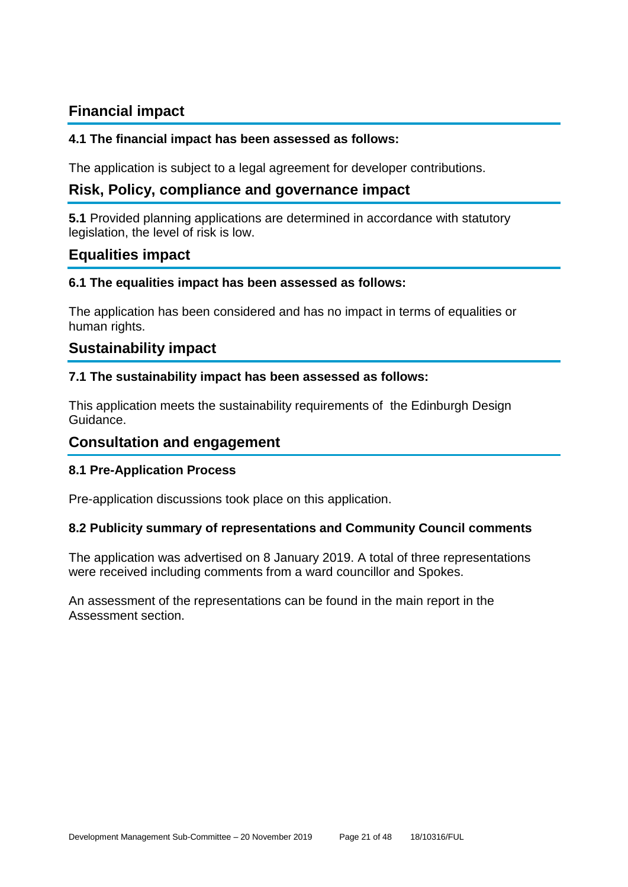# **Financial impact**

#### **4.1 The financial impact has been assessed as follows:**

The application is subject to a legal agreement for developer contributions.

# **Risk, Policy, compliance and governance impact**

**5.1** Provided planning applications are determined in accordance with statutory legislation, the level of risk is low.

# **Equalities impact**

#### **6.1 The equalities impact has been assessed as follows:**

The application has been considered and has no impact in terms of equalities or human rights.

# **Sustainability impact**

#### **7.1 The sustainability impact has been assessed as follows:**

This application meets the sustainability requirements of the Edinburgh Design Guidance.

#### **Consultation and engagement**

#### **8.1 Pre-Application Process**

Pre-application discussions took place on this application.

#### **8.2 Publicity summary of representations and Community Council comments**

The application was advertised on 8 January 2019. A total of three representations were received including comments from a ward councillor and Spokes.

An assessment of the representations can be found in the main report in the Assessment section.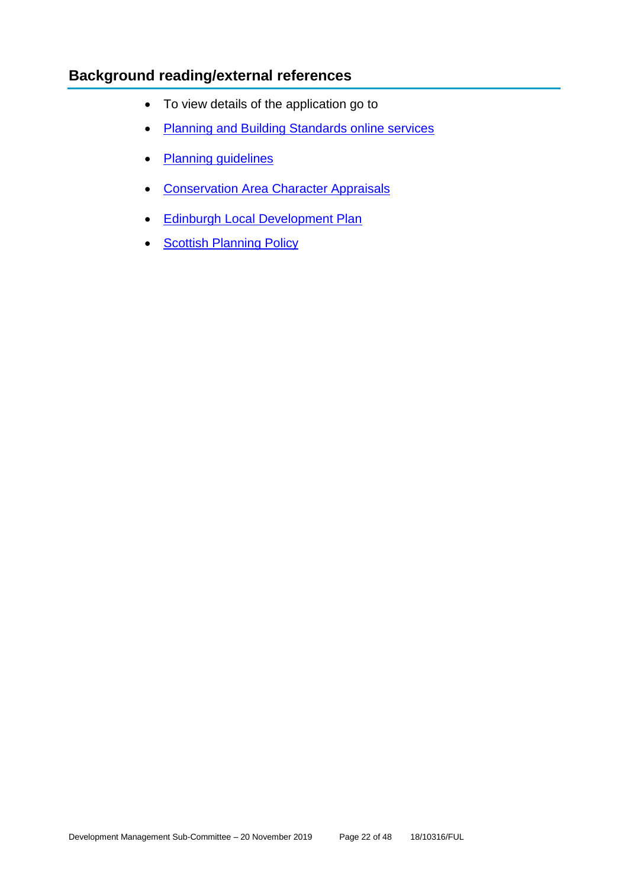# **Background reading/external references**

- To view details of the application go to
- [Planning and Building Standards online services](https://citydev-portal.edinburgh.gov.uk/idoxpa-web/search.do?action=simple&searchType=Application)
- [Planning guidelines](http://www.edinburgh.gov.uk/planningguidelines)
- [Conservation Area Character Appraisals](http://www.edinburgh.gov.uk/characterappraisals)
- [Edinburgh Local Development Plan](http://www.edinburgh.gov.uk/localdevelopmentplan)
- [Scottish Planning Policy](http://www.scotland.gov.uk/Topics/Built-Environment/planning/Policy)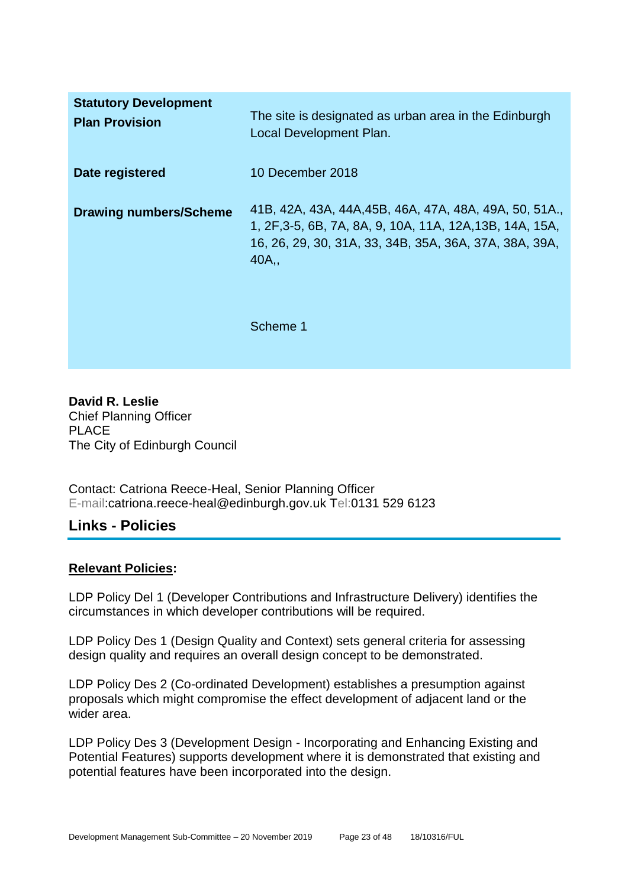| <b>Statutory Development</b><br><b>Plan Provision</b> | The site is designated as urban area in the Edinburgh<br>Local Development Plan.                                                                                                      |
|-------------------------------------------------------|---------------------------------------------------------------------------------------------------------------------------------------------------------------------------------------|
| Date registered                                       | 10 December 2018                                                                                                                                                                      |
| <b>Drawing numbers/Scheme</b>                         | 41B, 42A, 43A, 44A, 45B, 46A, 47A, 48A, 49A, 50, 51A.,<br>1, 2F, 3-5, 6B, 7A, 8A, 9, 10A, 11A, 12A, 13B, 14A, 15A,<br>16, 26, 29, 30, 31A, 33, 34B, 35A, 36A, 37A, 38A, 39A,<br>40A., |
|                                                       | Scheme 1                                                                                                                                                                              |

**David R. Leslie** Chief Planning Officer PLACE The City of Edinburgh Council

Contact: Catriona Reece-Heal, Senior Planning Officer E-mail:catriona.reece-heal@edinburgh.gov.uk Tel:0131 529 6123

# **Links - Policies**

#### **Relevant Policies:**

LDP Policy Del 1 (Developer Contributions and Infrastructure Delivery) identifies the circumstances in which developer contributions will be required.

LDP Policy Des 1 (Design Quality and Context) sets general criteria for assessing design quality and requires an overall design concept to be demonstrated.

LDP Policy Des 2 (Co-ordinated Development) establishes a presumption against proposals which might compromise the effect development of adjacent land or the wider area.

LDP Policy Des 3 (Development Design - Incorporating and Enhancing Existing and Potential Features) supports development where it is demonstrated that existing and potential features have been incorporated into the design.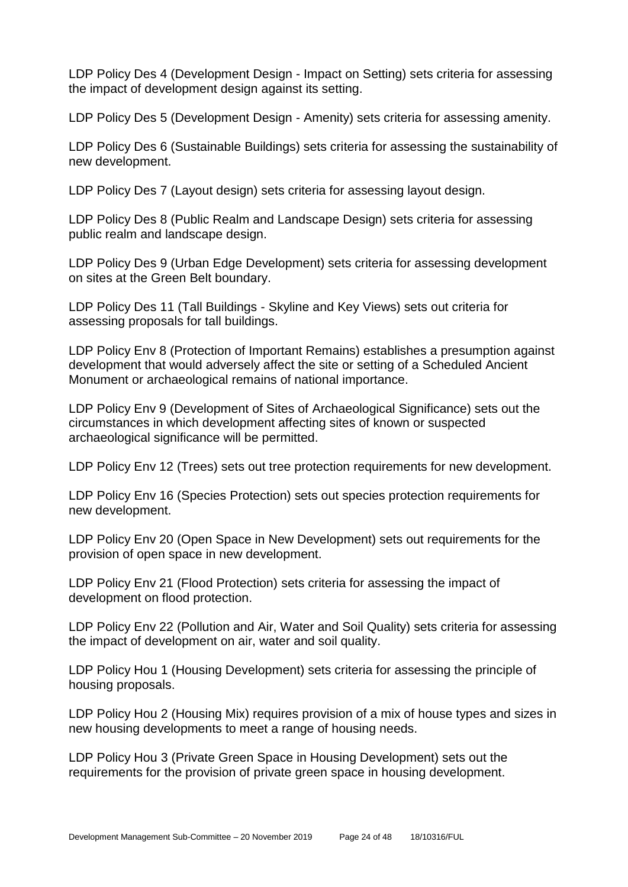LDP Policy Des 4 (Development Design - Impact on Setting) sets criteria for assessing the impact of development design against its setting.

LDP Policy Des 5 (Development Design - Amenity) sets criteria for assessing amenity.

LDP Policy Des 6 (Sustainable Buildings) sets criteria for assessing the sustainability of new development.

LDP Policy Des 7 (Layout design) sets criteria for assessing layout design.

LDP Policy Des 8 (Public Realm and Landscape Design) sets criteria for assessing public realm and landscape design.

LDP Policy Des 9 (Urban Edge Development) sets criteria for assessing development on sites at the Green Belt boundary.

LDP Policy Des 11 (Tall Buildings - Skyline and Key Views) sets out criteria for assessing proposals for tall buildings.

LDP Policy Env 8 (Protection of Important Remains) establishes a presumption against development that would adversely affect the site or setting of a Scheduled Ancient Monument or archaeological remains of national importance.

LDP Policy Env 9 (Development of Sites of Archaeological Significance) sets out the circumstances in which development affecting sites of known or suspected archaeological significance will be permitted.

LDP Policy Env 12 (Trees) sets out tree protection requirements for new development.

LDP Policy Env 16 (Species Protection) sets out species protection requirements for new development.

LDP Policy Env 20 (Open Space in New Development) sets out requirements for the provision of open space in new development.

LDP Policy Env 21 (Flood Protection) sets criteria for assessing the impact of development on flood protection.

LDP Policy Env 22 (Pollution and Air, Water and Soil Quality) sets criteria for assessing the impact of development on air, water and soil quality.

LDP Policy Hou 1 (Housing Development) sets criteria for assessing the principle of housing proposals.

LDP Policy Hou 2 (Housing Mix) requires provision of a mix of house types and sizes in new housing developments to meet a range of housing needs.

LDP Policy Hou 3 (Private Green Space in Housing Development) sets out the requirements for the provision of private green space in housing development.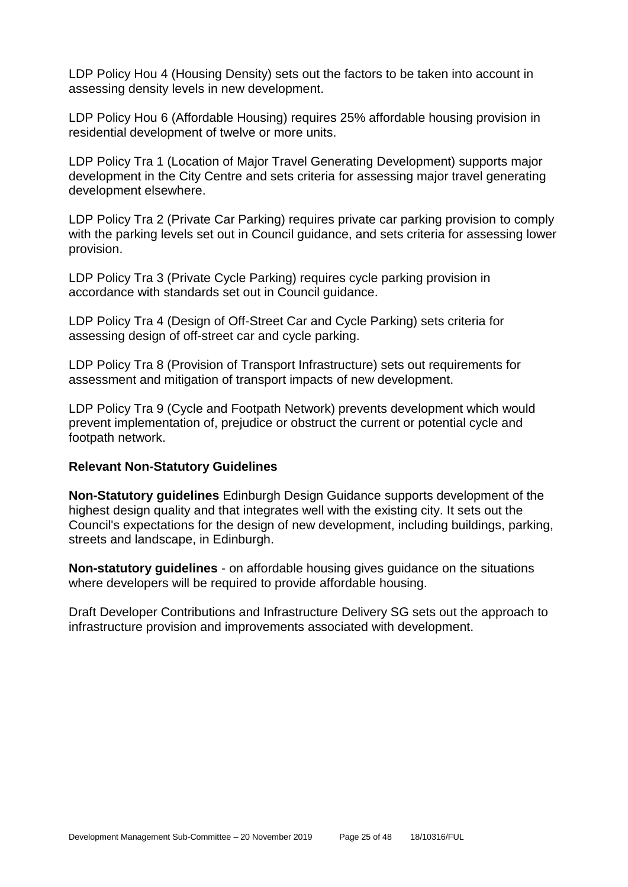LDP Policy Hou 4 (Housing Density) sets out the factors to be taken into account in assessing density levels in new development.

LDP Policy Hou 6 (Affordable Housing) requires 25% affordable housing provision in residential development of twelve or more units.

LDP Policy Tra 1 (Location of Major Travel Generating Development) supports major development in the City Centre and sets criteria for assessing major travel generating development elsewhere.

LDP Policy Tra 2 (Private Car Parking) requires private car parking provision to comply with the parking levels set out in Council guidance, and sets criteria for assessing lower provision.

LDP Policy Tra 3 (Private Cycle Parking) requires cycle parking provision in accordance with standards set out in Council guidance.

LDP Policy Tra 4 (Design of Off-Street Car and Cycle Parking) sets criteria for assessing design of off-street car and cycle parking.

LDP Policy Tra 8 (Provision of Transport Infrastructure) sets out requirements for assessment and mitigation of transport impacts of new development.

LDP Policy Tra 9 (Cycle and Footpath Network) prevents development which would prevent implementation of, prejudice or obstruct the current or potential cycle and footpath network.

#### **Relevant Non-Statutory Guidelines**

**Non-Statutory guidelines** Edinburgh Design Guidance supports development of the highest design quality and that integrates well with the existing city. It sets out the Council's expectations for the design of new development, including buildings, parking, streets and landscape, in Edinburgh.

**Non-statutory guidelines** - on affordable housing gives guidance on the situations where developers will be required to provide affordable housing.

Draft Developer Contributions and Infrastructure Delivery SG sets out the approach to infrastructure provision and improvements associated with development.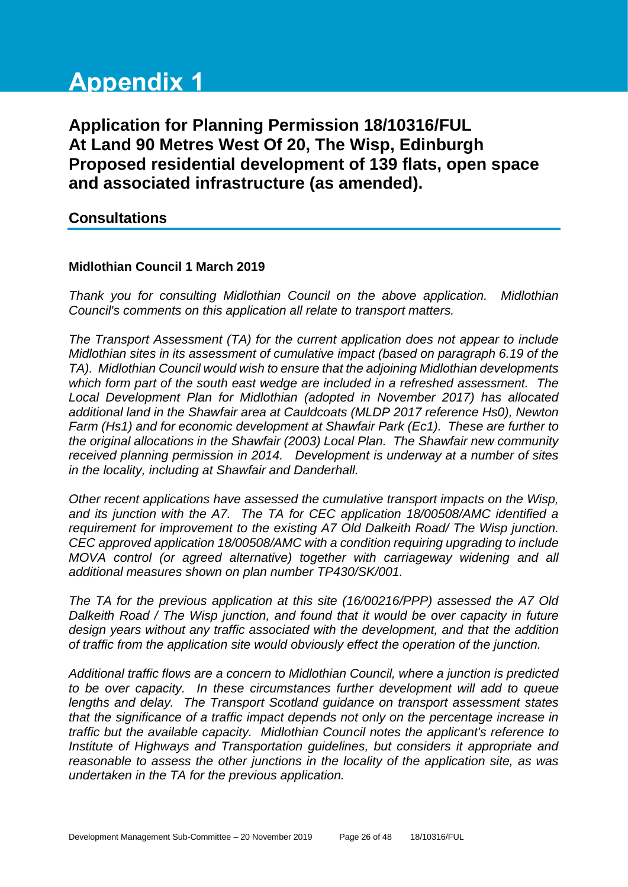# **Appendix 1**

**Application for Planning Permission 18/10316/FUL At Land 90 Metres West Of 20, The Wisp, Edinburgh Proposed residential development of 139 flats, open space and associated infrastructure (as amended).**

#### **Consultations**

#### **Midlothian Council 1 March 2019**

*Thank you for consulting Midlothian Council on the above application. Midlothian Council's comments on this application all relate to transport matters.* 

*The Transport Assessment (TA) for the current application does not appear to include Midlothian sites in its assessment of cumulative impact (based on paragraph 6.19 of the TA). Midlothian Council would wish to ensure that the adjoining Midlothian developments which form part of the south east wedge are included in a refreshed assessment. The Local Development Plan for Midlothian (adopted in November 2017) has allocated additional land in the Shawfair area at Cauldcoats (MLDP 2017 reference Hs0), Newton Farm (Hs1) and for economic development at Shawfair Park (Ec1). These are further to the original allocations in the Shawfair (2003) Local Plan. The Shawfair new community received planning permission in 2014. Development is underway at a number of sites in the locality, including at Shawfair and Danderhall.*

*Other recent applications have assessed the cumulative transport impacts on the Wisp, and its junction with the A7. The TA for CEC application 18/00508/AMC identified a requirement for improvement to the existing A7 Old Dalkeith Road/ The Wisp junction. CEC approved application 18/00508/AMC with a condition requiring upgrading to include MOVA control (or agreed alternative) together with carriageway widening and all additional measures shown on plan number TP430/SK/001.* 

*The TA for the previous application at this site (16/00216/PPP) assessed the A7 Old Dalkeith Road / The Wisp junction, and found that it would be over capacity in future design years without any traffic associated with the development, and that the addition of traffic from the application site would obviously effect the operation of the junction.* 

*Additional traffic flows are a concern to Midlothian Council, where a junction is predicted to be over capacity. In these circumstances further development will add to queue lengths and delay. The Transport Scotland guidance on transport assessment states that the significance of a traffic impact depends not only on the percentage increase in traffic but the available capacity. Midlothian Council notes the applicant's reference to Institute of Highways and Transportation guidelines, but considers it appropriate and reasonable to assess the other junctions in the locality of the application site, as was undertaken in the TA for the previous application.*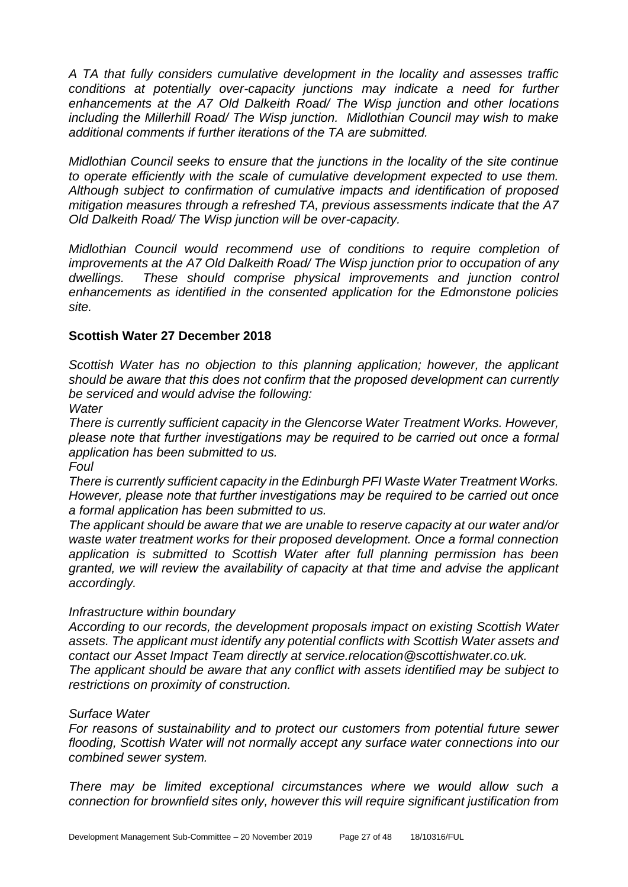*A TA that fully considers cumulative development in the locality and assesses traffic*  conditions at potentially over-capacity junctions may indicate a need for further *enhancements at the A7 Old Dalkeith Road/ The Wisp junction and other locations including the Millerhill Road/ The Wisp junction. Midlothian Council may wish to make additional comments if further iterations of the TA are submitted.*

*Midlothian Council seeks to ensure that the junctions in the locality of the site continue to operate efficiently with the scale of cumulative development expected to use them. Although subject to confirmation of cumulative impacts and identification of proposed mitigation measures through a refreshed TA, previous assessments indicate that the A7 Old Dalkeith Road/ The Wisp junction will be over-capacity.* 

*Midlothian Council would recommend use of conditions to require completion of improvements at the A7 Old Dalkeith Road/ The Wisp junction prior to occupation of any dwellings. These should comprise physical improvements and junction control enhancements as identified in the consented application for the Edmonstone policies site.* 

#### **Scottish Water 27 December 2018**

*Scottish Water has no objection to this planning application; however, the applicant should be aware that this does not confirm that the proposed development can currently be serviced and would advise the following:*

*Water*

*There is currently sufficient capacity in the Glencorse Water Treatment Works. However, please note that further investigations may be required to be carried out once a formal application has been submitted to us.*

*Foul*

*There is currently sufficient capacity in the Edinburgh PFI Waste Water Treatment Works. However, please note that further investigations may be required to be carried out once a formal application has been submitted to us.*

*The applicant should be aware that we are unable to reserve capacity at our water and/or waste water treatment works for their proposed development. Once a formal connection application is submitted to Scottish Water after full planning permission has been granted, we will review the availability of capacity at that time and advise the applicant accordingly.*

#### *Infrastructure within boundary*

*According to our records, the development proposals impact on existing Scottish Water assets. The applicant must identify any potential conflicts with Scottish Water assets and contact our Asset Impact Team directly at service.relocation@scottishwater.co.uk. The applicant should be aware that any conflict with assets identified may be subject to restrictions on proximity of construction.*

#### *Surface Water*

*For reasons of sustainability and to protect our customers from potential future sewer flooding, Scottish Water will not normally accept any surface water connections into our combined sewer system.*

*There may be limited exceptional circumstances where we would allow such a connection for brownfield sites only, however this will require significant justification from*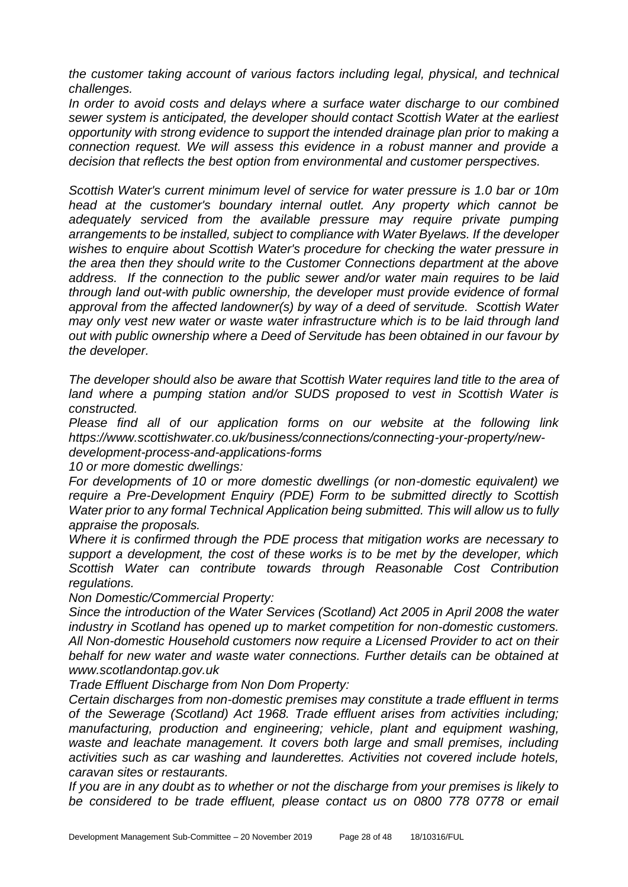*the customer taking account of various factors including legal, physical, and technical challenges.*

*In order to avoid costs and delays where a surface water discharge to our combined sewer system is anticipated, the developer should contact Scottish Water at the earliest opportunity with strong evidence to support the intended drainage plan prior to making a connection request. We will assess this evidence in a robust manner and provide a decision that reflects the best option from environmental and customer perspectives.*

*Scottish Water's current minimum level of service for water pressure is 1.0 bar or 10m head at the customer's boundary internal outlet. Any property which cannot be adequately serviced from the available pressure may require private pumping arrangements to be installed, subject to compliance with Water Byelaws. If the developer wishes to enquire about Scottish Water's procedure for checking the water pressure in the area then they should write to the Customer Connections department at the above address. If the connection to the public sewer and/or water main requires to be laid through land out-with public ownership, the developer must provide evidence of formal approval from the affected landowner(s) by way of a deed of servitude. Scottish Water may only vest new water or waste water infrastructure which is to be laid through land out with public ownership where a Deed of Servitude has been obtained in our favour by the developer.*

*The developer should also be aware that Scottish Water requires land title to the area of*  land where a pumping station and/or SUDS proposed to vest in Scottish Water is *constructed.*

*Please find all of our application forms on our website at the following link https://www.scottishwater.co.uk/business/connections/connecting-your-property/newdevelopment-process-and-applications-forms*

*10 or more domestic dwellings:*

*For developments of 10 or more domestic dwellings (or non-domestic equivalent) we require a Pre-Development Enquiry (PDE) Form to be submitted directly to Scottish Water prior to any formal Technical Application being submitted. This will allow us to fully appraise the proposals.*

*Where it is confirmed through the PDE process that mitigation works are necessary to support a development, the cost of these works is to be met by the developer, which Scottish Water can contribute towards through Reasonable Cost Contribution regulations.*

*Non Domestic/Commercial Property:*

*Since the introduction of the Water Services (Scotland) Act 2005 in April 2008 the water industry in Scotland has opened up to market competition for non-domestic customers. All Non-domestic Household customers now require a Licensed Provider to act on their behalf for new water and waste water connections. Further details can be obtained at www.scotlandontap.gov.uk*

*Trade Effluent Discharge from Non Dom Property:*

*Certain discharges from non-domestic premises may constitute a trade effluent in terms of the Sewerage (Scotland) Act 1968. Trade effluent arises from activities including; manufacturing, production and engineering; vehicle, plant and equipment washing, waste and leachate management. It covers both large and small premises, including activities such as car washing and launderettes. Activities not covered include hotels, caravan sites or restaurants.*

*If you are in any doubt as to whether or not the discharge from your premises is likely to be considered to be trade effluent, please contact us on 0800 778 0778 or email*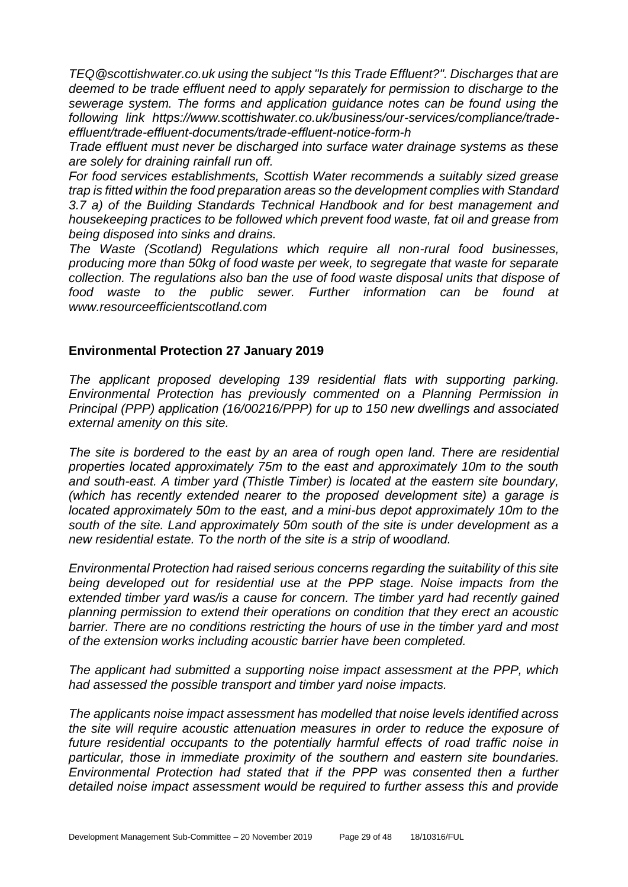*TEQ@scottishwater.co.uk using the subject "Is this Trade Effluent?". Discharges that are deemed to be trade effluent need to apply separately for permission to discharge to the sewerage system. The forms and application guidance notes can be found using the following link https://www.scottishwater.co.uk/business/our-services/compliance/tradeeffluent/trade-effluent-documents/trade-effluent-notice-form-h*

*Trade effluent must never be discharged into surface water drainage systems as these are solely for draining rainfall run off.*

*For food services establishments, Scottish Water recommends a suitably sized grease trap is fitted within the food preparation areas so the development complies with Standard 3.7 a) of the Building Standards Technical Handbook and for best management and housekeeping practices to be followed which prevent food waste, fat oil and grease from being disposed into sinks and drains.*

*The Waste (Scotland) Regulations which require all non-rural food businesses, producing more than 50kg of food waste per week, to segregate that waste for separate collection. The regulations also ban the use of food waste disposal units that dispose of food waste to the public sewer. Further information can be found at www.resourceefficientscotland.com*

#### **Environmental Protection 27 January 2019**

*The applicant proposed developing 139 residential flats with supporting parking. Environmental Protection has previously commented on a Planning Permission in Principal (PPP) application (16/00216/PPP) for up to 150 new dwellings and associated external amenity on this site.* 

*The site is bordered to the east by an area of rough open land. There are residential properties located approximately 75m to the east and approximately 10m to the south and south-east. A timber yard (Thistle Timber) is located at the eastern site boundary, (which has recently extended nearer to the proposed development site) a garage is located approximately 50m to the east, and a mini-bus depot approximately 10m to the south of the site. Land approximately 50m south of the site is under development as a new residential estate. To the north of the site is a strip of woodland.* 

*Environmental Protection had raised serious concerns regarding the suitability of this site being developed out for residential use at the PPP stage. Noise impacts from the extended timber yard was/is a cause for concern. The timber yard had recently gained planning permission to extend their operations on condition that they erect an acoustic barrier. There are no conditions restricting the hours of use in the timber yard and most of the extension works including acoustic barrier have been completed.*

*The applicant had submitted a supporting noise impact assessment at the PPP, which had assessed the possible transport and timber yard noise impacts.* 

*The applicants noise impact assessment has modelled that noise levels identified across the site will require acoustic attenuation measures in order to reduce the exposure of future residential occupants to the potentially harmful effects of road traffic noise in particular, those in immediate proximity of the southern and eastern site boundaries. Environmental Protection had stated that if the PPP was consented then a further detailed noise impact assessment would be required to further assess this and provide*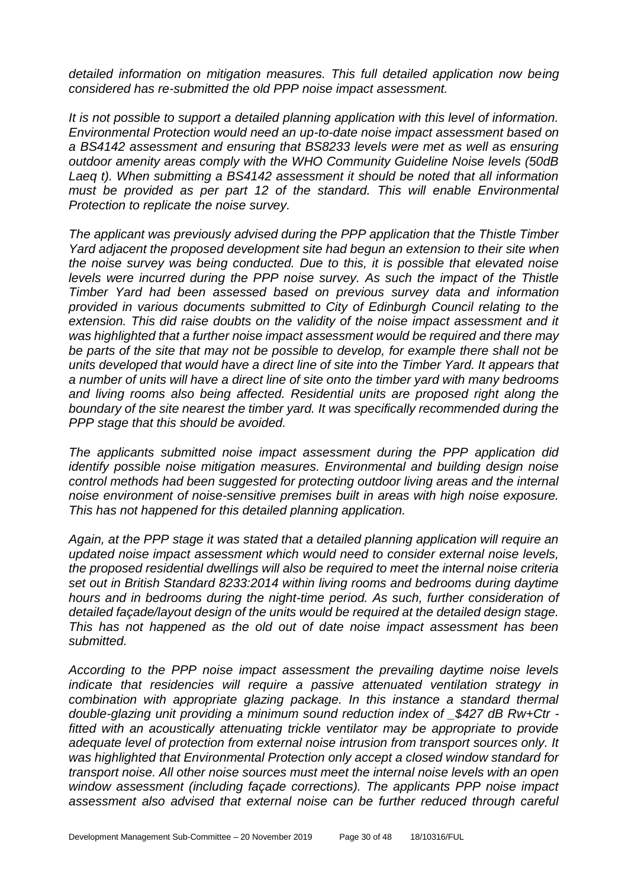*detailed information on mitigation measures. This full detailed application now being considered has re-submitted the old PPP noise impact assessment.* 

*It is not possible to support a detailed planning application with this level of information. Environmental Protection would need an up-to-date noise impact assessment based on a BS4142 assessment and ensuring that BS8233 levels were met as well as ensuring outdoor amenity areas comply with the WHO Community Guideline Noise levels (50dB Laeq t). When submitting a BS4142 assessment it should be noted that all information must be provided as per part 12 of the standard. This will enable Environmental Protection to replicate the noise survey.* 

*The applicant was previously advised during the PPP application that the Thistle Timber Yard adjacent the proposed development site had begun an extension to their site when the noise survey was being conducted. Due to this, it is possible that elevated noise levels were incurred during the PPP noise survey. As such the impact of the Thistle Timber Yard had been assessed based on previous survey data and information provided in various documents submitted to City of Edinburgh Council relating to the extension. This did raise doubts on the validity of the noise impact assessment and it was highlighted that a further noise impact assessment would be required and there may be parts of the site that may not be possible to develop, for example there shall not be units developed that would have a direct line of site into the Timber Yard. It appears that a number of units will have a direct line of site onto the timber yard with many bedrooms and living rooms also being affected. Residential units are proposed right along the boundary of the site nearest the timber yard. It was specifically recommended during the PPP stage that this should be avoided.* 

*The applicants submitted noise impact assessment during the PPP application did identify possible noise mitigation measures. Environmental and building design noise control methods had been suggested for protecting outdoor living areas and the internal noise environment of noise-sensitive premises built in areas with high noise exposure. This has not happened for this detailed planning application.* 

*Again, at the PPP stage it was stated that a detailed planning application will require an updated noise impact assessment which would need to consider external noise levels, the proposed residential dwellings will also be required to meet the internal noise criteria set out in British Standard 8233:2014 within living rooms and bedrooms during daytime hours and in bedrooms during the night-time period. As such, further consideration of detailed façade/layout design of the units would be required at the detailed design stage. This has not happened as the old out of date noise impact assessment has been submitted.* 

*According to the PPP noise impact assessment the prevailing daytime noise levels indicate that residencies will require a passive attenuated ventilation strategy in combination with appropriate glazing package. In this instance a standard thermal double-glazing unit providing a minimum sound reduction index of \_\$427 dB Rw+Ctr fitted with an acoustically attenuating trickle ventilator may be appropriate to provide adequate level of protection from external noise intrusion from transport sources only. It was highlighted that Environmental Protection only accept a closed window standard for transport noise. All other noise sources must meet the internal noise levels with an open window assessment (including façade corrections). The applicants PPP noise impact assessment also advised that external noise can be further reduced through careful*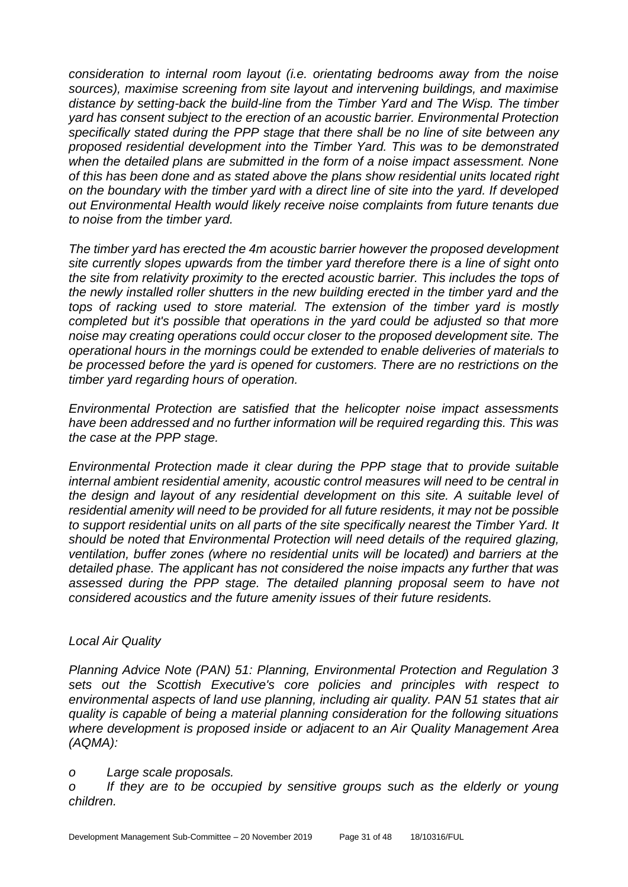*consideration to internal room layout (i.e. orientating bedrooms away from the noise sources), maximise screening from site layout and intervening buildings, and maximise distance by setting-back the build-line from the Timber Yard and The Wisp. The timber yard has consent subject to the erection of an acoustic barrier. Environmental Protection specifically stated during the PPP stage that there shall be no line of site between any proposed residential development into the Timber Yard. This was to be demonstrated when the detailed plans are submitted in the form of a noise impact assessment. None of this has been done and as stated above the plans show residential units located right on the boundary with the timber yard with a direct line of site into the yard. If developed out Environmental Health would likely receive noise complaints from future tenants due to noise from the timber yard.* 

*The timber yard has erected the 4m acoustic barrier however the proposed development site currently slopes upwards from the timber yard therefore there is a line of sight onto the site from relativity proximity to the erected acoustic barrier. This includes the tops of the newly installed roller shutters in the new building erected in the timber yard and the tops of racking used to store material. The extension of the timber yard is mostly completed but it's possible that operations in the yard could be adjusted so that more noise may creating operations could occur closer to the proposed development site. The operational hours in the mornings could be extended to enable deliveries of materials to be processed before the yard is opened for customers. There are no restrictions on the timber yard regarding hours of operation.* 

*Environmental Protection are satisfied that the helicopter noise impact assessments have been addressed and no further information will be required regarding this. This was the case at the PPP stage.* 

*Environmental Protection made it clear during the PPP stage that to provide suitable internal ambient residential amenity, acoustic control measures will need to be central in the design and layout of any residential development on this site. A suitable level of residential amenity will need to be provided for all future residents, it may not be possible to support residential units on all parts of the site specifically nearest the Timber Yard. It should be noted that Environmental Protection will need details of the required glazing, ventilation, buffer zones (where no residential units will be located) and barriers at the detailed phase. The applicant has not considered the noise impacts any further that was assessed during the PPP stage. The detailed planning proposal seem to have not considered acoustics and the future amenity issues of their future residents.* 

#### *Local Air Quality*

*Planning Advice Note (PAN) 51: Planning, Environmental Protection and Regulation 3 sets out the Scottish Executive's core policies and principles with respect to environmental aspects of land use planning, including air quality. PAN 51 states that air quality is capable of being a material planning consideration for the following situations where development is proposed inside or adjacent to an Air Quality Management Area (AQMA):* 

#### *o Large scale proposals.*

*o If they are to be occupied by sensitive groups such as the elderly or young children.*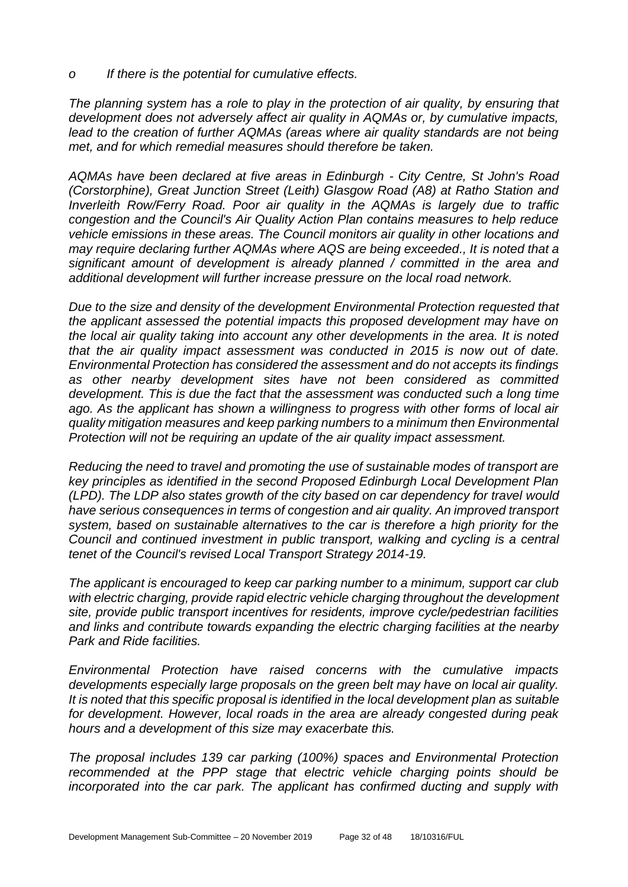*o If there is the potential for cumulative effects.* 

*The planning system has a role to play in the protection of air quality, by ensuring that development does not adversely affect air quality in AQMAs or, by cumulative impacts,*  lead to the creation of further AQMAs (areas where air quality standards are not being *met, and for which remedial measures should therefore be taken.* 

*AQMAs have been declared at five areas in Edinburgh - City Centre, St John's Road (Corstorphine), Great Junction Street (Leith) Glasgow Road (A8) at Ratho Station and Inverleith Row/Ferry Road. Poor air quality in the AQMAs is largely due to traffic congestion and the Council's Air Quality Action Plan contains measures to help reduce vehicle emissions in these areas. The Council monitors air quality in other locations and may require declaring further AQMAs where AQS are being exceeded., It is noted that a significant amount of development is already planned / committed in the area and additional development will further increase pressure on the local road network.* 

*Due to the size and density of the development Environmental Protection requested that the applicant assessed the potential impacts this proposed development may have on the local air quality taking into account any other developments in the area. It is noted that the air quality impact assessment was conducted in 2015 is now out of date. Environmental Protection has considered the assessment and do not accepts its findings as other nearby development sites have not been considered as committed development. This is due the fact that the assessment was conducted such a long time ago. As the applicant has shown a willingness to progress with other forms of local air quality mitigation measures and keep parking numbers to a minimum then Environmental Protection will not be requiring an update of the air quality impact assessment.*

*Reducing the need to travel and promoting the use of sustainable modes of transport are key principles as identified in the second Proposed Edinburgh Local Development Plan (LPD). The LDP also states growth of the city based on car dependency for travel would have serious consequences in terms of congestion and air quality. An improved transport system, based on sustainable alternatives to the car is therefore a high priority for the Council and continued investment in public transport, walking and cycling is a central tenet of the Council's revised Local Transport Strategy 2014-19.*

*The applicant is encouraged to keep car parking number to a minimum, support car club with electric charging, provide rapid electric vehicle charging throughout the development site, provide public transport incentives for residents, improve cycle/pedestrian facilities and links and contribute towards expanding the electric charging facilities at the nearby Park and Ride facilities.*

*Environmental Protection have raised concerns with the cumulative impacts developments especially large proposals on the green belt may have on local air quality. It is noted that this specific proposal is identified in the local development plan as suitable for development. However, local roads in the area are already congested during peak hours and a development of this size may exacerbate this.* 

*The proposal includes 139 car parking (100%) spaces and Environmental Protection recommended at the PPP stage that electric vehicle charging points should be incorporated into the car park. The applicant has confirmed ducting and supply with*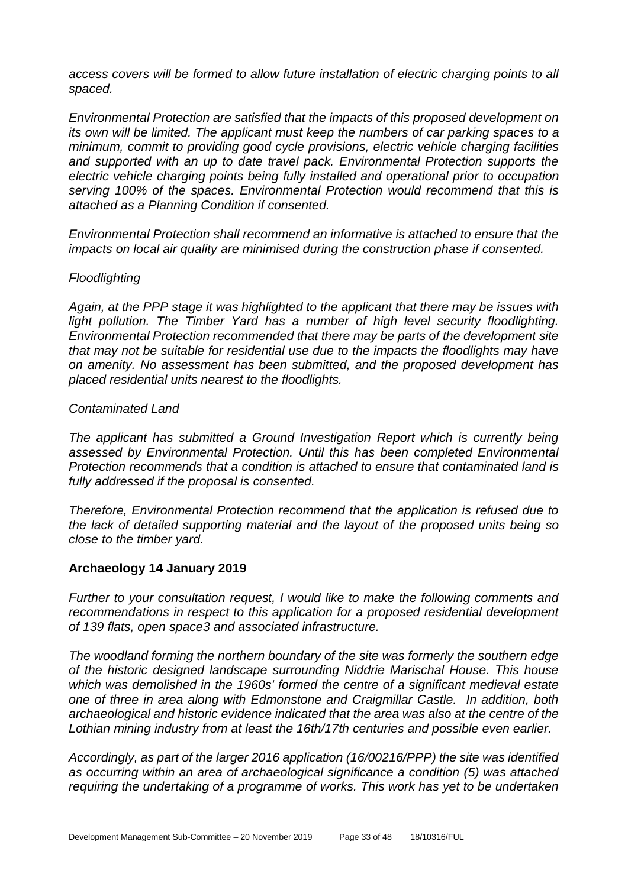*access covers will be formed to allow future installation of electric charging points to all spaced.*

*Environmental Protection are satisfied that the impacts of this proposed development on its own will be limited. The applicant must keep the numbers of car parking spaces to a minimum, commit to providing good cycle provisions, electric vehicle charging facilities and supported with an up to date travel pack. Environmental Protection supports the electric vehicle charging points being fully installed and operational prior to occupation serving 100% of the spaces. Environmental Protection would recommend that this is attached as a Planning Condition if consented.*

*Environmental Protection shall recommend an informative is attached to ensure that the impacts on local air quality are minimised during the construction phase if consented.*

#### *Floodlighting*

*Again, at the PPP stage it was highlighted to the applicant that there may be issues with*  light pollution. The Timber Yard has a number of high level security floodlighting. *Environmental Protection recommended that there may be parts of the development site that may not be suitable for residential use due to the impacts the floodlights may have on amenity. No assessment has been submitted, and the proposed development has placed residential units nearest to the floodlights.*

#### *Contaminated Land*

*The applicant has submitted a Ground Investigation Report which is currently being assessed by Environmental Protection. Until this has been completed Environmental Protection recommends that a condition is attached to ensure that contaminated land is fully addressed if the proposal is consented.* 

*Therefore, Environmental Protection recommend that the application is refused due to the lack of detailed supporting material and the layout of the proposed units being so close to the timber yard.* 

#### **Archaeology 14 January 2019**

*Further to your consultation request, I would like to make the following comments and recommendations in respect to this application for a proposed residential development of 139 flats, open space3 and associated infrastructure.*

*The woodland forming the northern boundary of the site was formerly the southern edge of the historic designed landscape surrounding Niddrie Marischal House. This house which was demolished in the 1960s' formed the centre of a significant medieval estate one of three in area along with Edmonstone and Craigmillar Castle. In addition, both archaeological and historic evidence indicated that the area was also at the centre of the Lothian mining industry from at least the 16th/17th centuries and possible even earlier.* 

*Accordingly, as part of the larger 2016 application (16/00216/PPP) the site was identified as occurring within an area of archaeological significance a condition (5) was attached requiring the undertaking of a programme of works. This work has yet to be undertaken*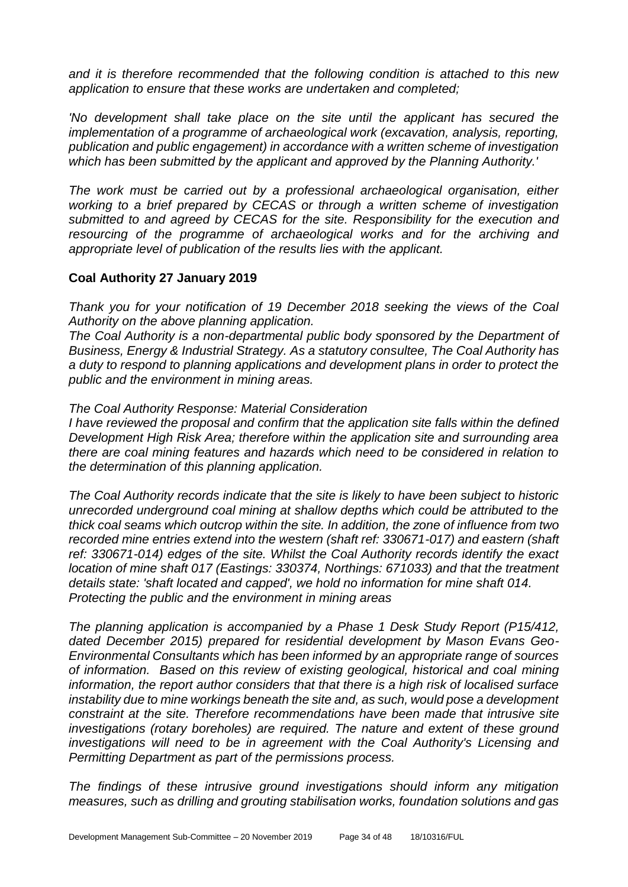*and it is therefore recommended that the following condition is attached to this new application to ensure that these works are undertaken and completed;*

*'No development shall take place on the site until the applicant has secured the implementation of a programme of archaeological work (excavation, analysis, reporting, publication and public engagement) in accordance with a written scheme of investigation which has been submitted by the applicant and approved by the Planning Authority.'* 

*The work must be carried out by a professional archaeological organisation, either working to a brief prepared by CECAS or through a written scheme of investigation submitted to and agreed by CECAS for the site. Responsibility for the execution and resourcing of the programme of archaeological works and for the archiving and appropriate level of publication of the results lies with the applicant.*

#### **Coal Authority 27 January 2019**

*Thank you for your notification of 19 December 2018 seeking the views of the Coal Authority on the above planning application.*

*The Coal Authority is a non-departmental public body sponsored by the Department of Business, Energy & Industrial Strategy. As a statutory consultee, The Coal Authority has a duty to respond to planning applications and development plans in order to protect the public and the environment in mining areas.*

#### *The Coal Authority Response: Material Consideration*

*I have reviewed the proposal and confirm that the application site falls within the defined Development High Risk Area; therefore within the application site and surrounding area there are coal mining features and hazards which need to be considered in relation to the determination of this planning application.*

*The Coal Authority records indicate that the site is likely to have been subject to historic unrecorded underground coal mining at shallow depths which could be attributed to the thick coal seams which outcrop within the site. In addition, the zone of influence from two recorded mine entries extend into the western (shaft ref: 330671-017) and eastern (shaft ref: 330671-014) edges of the site. Whilst the Coal Authority records identify the exact location of mine shaft 017 (Eastings: 330374, Northings: 671033) and that the treatment details state: 'shaft located and capped', we hold no information for mine shaft 014. Protecting the public and the environment in mining areas*

*The planning application is accompanied by a Phase 1 Desk Study Report (P15/412, dated December 2015) prepared for residential development by Mason Evans Geo-Environmental Consultants which has been informed by an appropriate range of sources of information. Based on this review of existing geological, historical and coal mining information, the report author considers that that there is a high risk of localised surface instability due to mine workings beneath the site and, as such, would pose a development constraint at the site. Therefore recommendations have been made that intrusive site investigations (rotary boreholes) are required. The nature and extent of these ground investigations will need to be in agreement with the Coal Authority's Licensing and Permitting Department as part of the permissions process.*

*The findings of these intrusive ground investigations should inform any mitigation measures, such as drilling and grouting stabilisation works, foundation solutions and gas*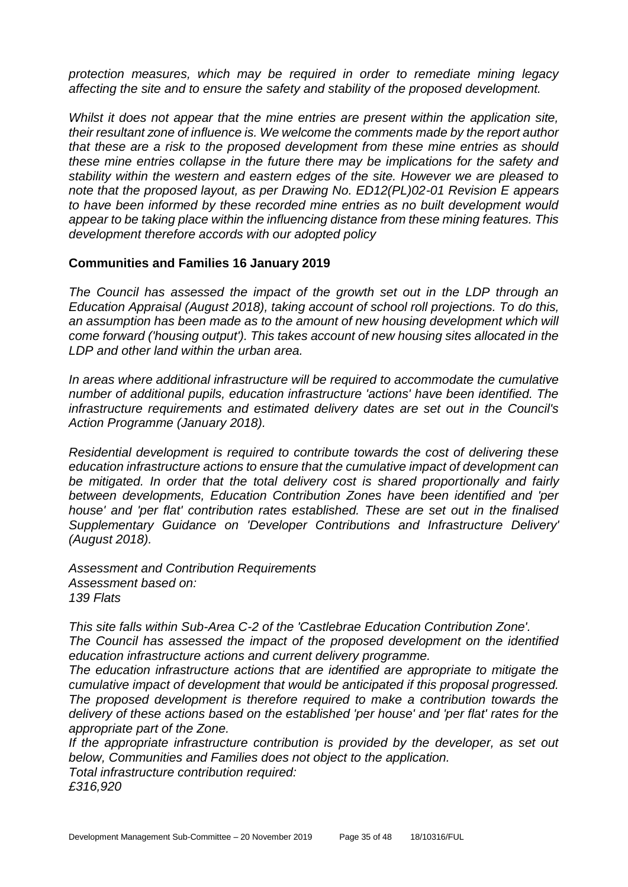*protection measures, which may be required in order to remediate mining legacy affecting the site and to ensure the safety and stability of the proposed development.*

*Whilst it does not appear that the mine entries are present within the application site, their resultant zone of influence is. We welcome the comments made by the report author that these are a risk to the proposed development from these mine entries as should these mine entries collapse in the future there may be implications for the safety and stability within the western and eastern edges of the site. However we are pleased to note that the proposed layout, as per Drawing No. ED12(PL)02-01 Revision E appears to have been informed by these recorded mine entries as no built development would appear to be taking place within the influencing distance from these mining features. This development therefore accords with our adopted policy*

#### **Communities and Families 16 January 2019**

*The Council has assessed the impact of the growth set out in the LDP through an Education Appraisal (August 2018), taking account of school roll projections. To do this,*  an assumption has been made as to the amount of new housing development which will *come forward ('housing output'). This takes account of new housing sites allocated in the LDP and other land within the urban area.*

*In areas where additional infrastructure will be required to accommodate the cumulative number of additional pupils, education infrastructure 'actions' have been identified. The infrastructure requirements and estimated delivery dates are set out in the Council's Action Programme (January 2018).*

*Residential development is required to contribute towards the cost of delivering these education infrastructure actions to ensure that the cumulative impact of development can be mitigated. In order that the total delivery cost is shared proportionally and fairly between developments, Education Contribution Zones have been identified and 'per house' and 'per flat' contribution rates established. These are set out in the finalised Supplementary Guidance on 'Developer Contributions and Infrastructure Delivery' (August 2018).* 

*Assessment and Contribution Requirements Assessment based on: 139 Flats*

*This site falls within Sub-Area C-2 of the 'Castlebrae Education Contribution Zone'. The Council has assessed the impact of the proposed development on the identified education infrastructure actions and current delivery programme.* 

*The education infrastructure actions that are identified are appropriate to mitigate the cumulative impact of development that would be anticipated if this proposal progressed. The proposed development is therefore required to make a contribution towards the delivery of these actions based on the established 'per house' and 'per flat' rates for the appropriate part of the Zone.*

*If the appropriate infrastructure contribution is provided by the developer, as set out below, Communities and Families does not object to the application. Total infrastructure contribution required: £316,920*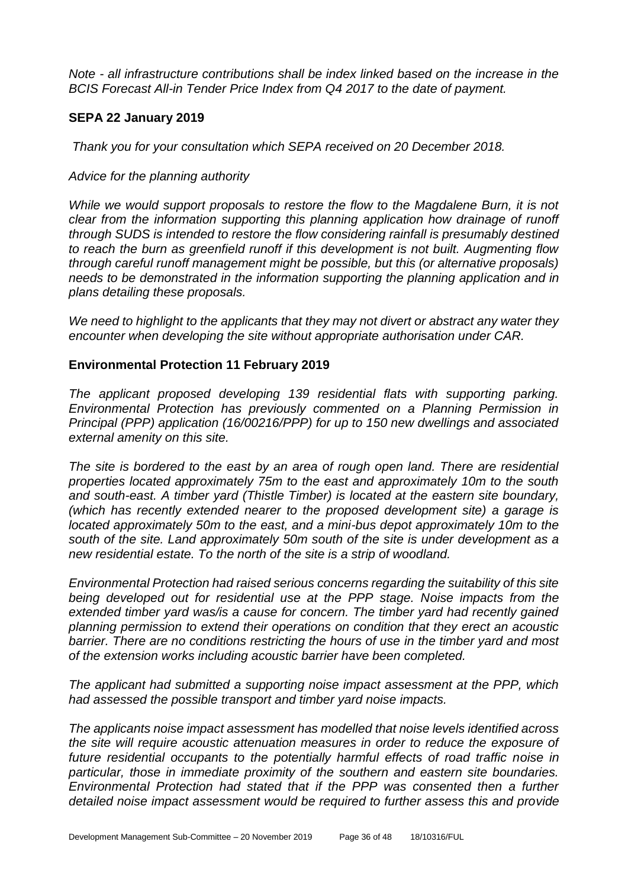*Note - all infrastructure contributions shall be index linked based on the increase in the BCIS Forecast All-in Tender Price Index from Q4 2017 to the date of payment.* 

#### **SEPA 22 January 2019**

*Thank you for your consultation which SEPA received on 20 December 2018.* 

#### *Advice for the planning authority*

*While we would support proposals to restore the flow to the Magdalene Burn, it is not clear from the information supporting this planning application how drainage of runoff through SUDS is intended to restore the flow considering rainfall is presumably destined to reach the burn as greenfield runoff if this development is not built. Augmenting flow through careful runoff management might be possible, but this (or alternative proposals) needs to be demonstrated in the information supporting the planning application and in plans detailing these proposals.* 

*We need to highlight to the applicants that they may not divert or abstract any water they encounter when developing the site without appropriate authorisation under CAR.*

#### **Environmental Protection 11 February 2019**

*The applicant proposed developing 139 residential flats with supporting parking. Environmental Protection has previously commented on a Planning Permission in Principal (PPP) application (16/00216/PPP) for up to 150 new dwellings and associated external amenity on this site.* 

*The site is bordered to the east by an area of rough open land. There are residential properties located approximately 75m to the east and approximately 10m to the south and south-east. A timber yard (Thistle Timber) is located at the eastern site boundary, (which has recently extended nearer to the proposed development site) a garage is located approximately 50m to the east, and a mini-bus depot approximately 10m to the south of the site. Land approximately 50m south of the site is under development as a new residential estate. To the north of the site is a strip of woodland.* 

*Environmental Protection had raised serious concerns regarding the suitability of this site being developed out for residential use at the PPP stage. Noise impacts from the extended timber yard was/is a cause for concern. The timber yard had recently gained planning permission to extend their operations on condition that they erect an acoustic barrier. There are no conditions restricting the hours of use in the timber yard and most of the extension works including acoustic barrier have been completed.*

*The applicant had submitted a supporting noise impact assessment at the PPP, which had assessed the possible transport and timber yard noise impacts.* 

*The applicants noise impact assessment has modelled that noise levels identified across the site will require acoustic attenuation measures in order to reduce the exposure of future residential occupants to the potentially harmful effects of road traffic noise in particular, those in immediate proximity of the southern and eastern site boundaries. Environmental Protection had stated that if the PPP was consented then a further detailed noise impact assessment would be required to further assess this and provide*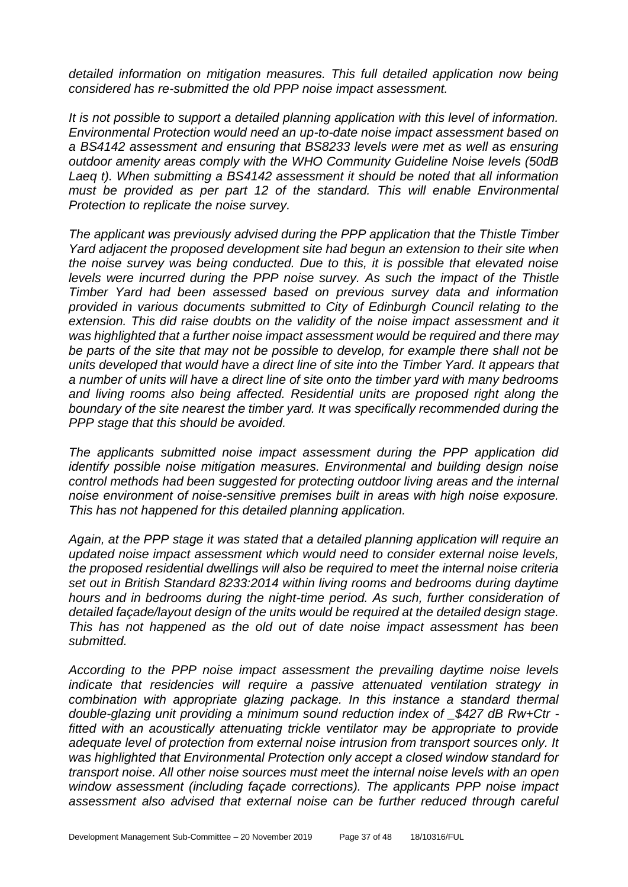*detailed information on mitigation measures. This full detailed application now being considered has re-submitted the old PPP noise impact assessment.* 

*It is not possible to support a detailed planning application with this level of information. Environmental Protection would need an up-to-date noise impact assessment based on a BS4142 assessment and ensuring that BS8233 levels were met as well as ensuring outdoor amenity areas comply with the WHO Community Guideline Noise levels (50dB Laeq t). When submitting a BS4142 assessment it should be noted that all information must be provided as per part 12 of the standard. This will enable Environmental Protection to replicate the noise survey.* 

*The applicant was previously advised during the PPP application that the Thistle Timber Yard adjacent the proposed development site had begun an extension to their site when the noise survey was being conducted. Due to this, it is possible that elevated noise levels were incurred during the PPP noise survey. As such the impact of the Thistle Timber Yard had been assessed based on previous survey data and information provided in various documents submitted to City of Edinburgh Council relating to the*  extension. This did raise doubts on the validity of the noise impact assessment and it *was highlighted that a further noise impact assessment would be required and there may be parts of the site that may not be possible to develop, for example there shall not be units developed that would have a direct line of site into the Timber Yard. It appears that a number of units will have a direct line of site onto the timber yard with many bedrooms and living rooms also being affected. Residential units are proposed right along the boundary of the site nearest the timber yard. It was specifically recommended during the PPP stage that this should be avoided.* 

*The applicants submitted noise impact assessment during the PPP application did identify possible noise mitigation measures. Environmental and building design noise control methods had been suggested for protecting outdoor living areas and the internal noise environment of noise-sensitive premises built in areas with high noise exposure. This has not happened for this detailed planning application.* 

*Again, at the PPP stage it was stated that a detailed planning application will require an updated noise impact assessment which would need to consider external noise levels, the proposed residential dwellings will also be required to meet the internal noise criteria set out in British Standard 8233:2014 within living rooms and bedrooms during daytime hours and in bedrooms during the night-time period. As such, further consideration of detailed façade/layout design of the units would be required at the detailed design stage. This has not happened as the old out of date noise impact assessment has been submitted.* 

*According to the PPP noise impact assessment the prevailing daytime noise levels indicate that residencies will require a passive attenuated ventilation strategy in combination with appropriate glazing package. In this instance a standard thermal double-glazing unit providing a minimum sound reduction index of \_\$427 dB Rw+Ctr fitted with an acoustically attenuating trickle ventilator may be appropriate to provide adequate level of protection from external noise intrusion from transport sources only. It was highlighted that Environmental Protection only accept a closed window standard for transport noise. All other noise sources must meet the internal noise levels with an open window assessment (including façade corrections). The applicants PPP noise impact assessment also advised that external noise can be further reduced through careful*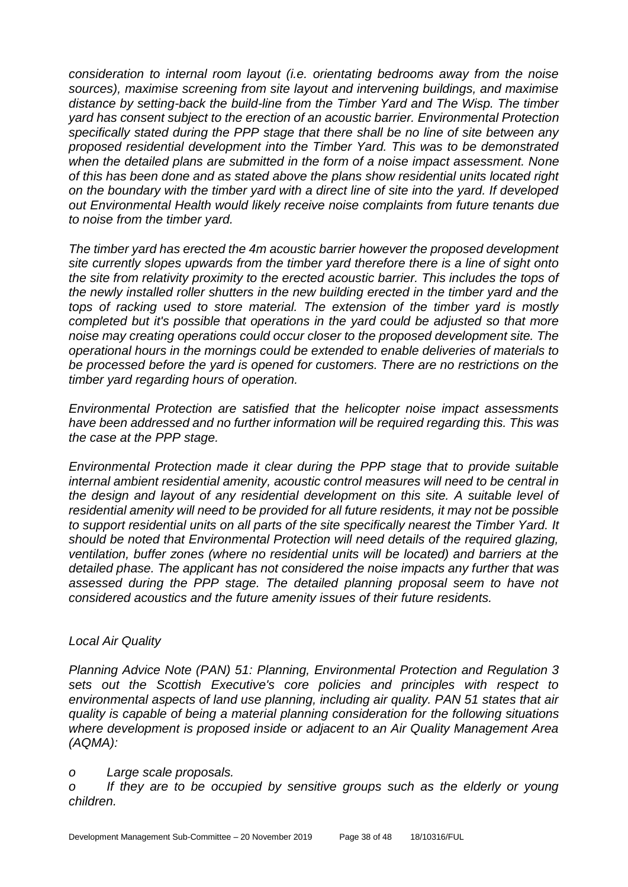*consideration to internal room layout (i.e. orientating bedrooms away from the noise sources), maximise screening from site layout and intervening buildings, and maximise distance by setting-back the build-line from the Timber Yard and The Wisp. The timber yard has consent subject to the erection of an acoustic barrier. Environmental Protection specifically stated during the PPP stage that there shall be no line of site between any proposed residential development into the Timber Yard. This was to be demonstrated when the detailed plans are submitted in the form of a noise impact assessment. None of this has been done and as stated above the plans show residential units located right on the boundary with the timber yard with a direct line of site into the yard. If developed out Environmental Health would likely receive noise complaints from future tenants due to noise from the timber yard.* 

*The timber yard has erected the 4m acoustic barrier however the proposed development site currently slopes upwards from the timber yard therefore there is a line of sight onto the site from relativity proximity to the erected acoustic barrier. This includes the tops of the newly installed roller shutters in the new building erected in the timber yard and the tops of racking used to store material. The extension of the timber yard is mostly completed but it's possible that operations in the yard could be adjusted so that more noise may creating operations could occur closer to the proposed development site. The operational hours in the mornings could be extended to enable deliveries of materials to be processed before the yard is opened for customers. There are no restrictions on the timber yard regarding hours of operation.* 

*Environmental Protection are satisfied that the helicopter noise impact assessments have been addressed and no further information will be required regarding this. This was the case at the PPP stage.* 

*Environmental Protection made it clear during the PPP stage that to provide suitable internal ambient residential amenity, acoustic control measures will need to be central in the design and layout of any residential development on this site. A suitable level of residential amenity will need to be provided for all future residents, it may not be possible to support residential units on all parts of the site specifically nearest the Timber Yard. It should be noted that Environmental Protection will need details of the required glazing, ventilation, buffer zones (where no residential units will be located) and barriers at the detailed phase. The applicant has not considered the noise impacts any further that was assessed during the PPP stage. The detailed planning proposal seem to have not considered acoustics and the future amenity issues of their future residents.* 

#### *Local Air Quality*

*Planning Advice Note (PAN) 51: Planning, Environmental Protection and Regulation 3 sets out the Scottish Executive's core policies and principles with respect to environmental aspects of land use planning, including air quality. PAN 51 states that air quality is capable of being a material planning consideration for the following situations where development is proposed inside or adjacent to an Air Quality Management Area (AQMA):* 

#### *o Large scale proposals.*

*o If they are to be occupied by sensitive groups such as the elderly or young children.*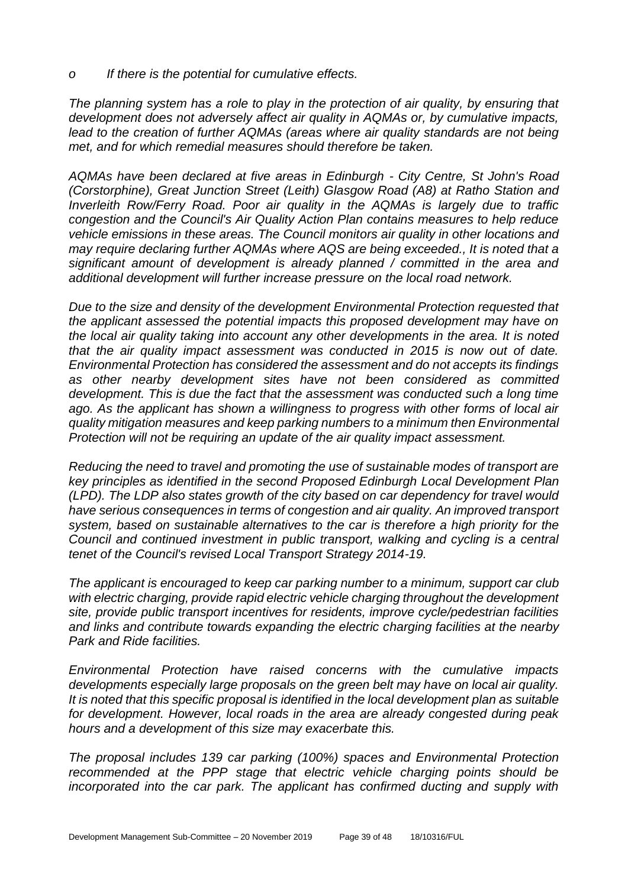*o If there is the potential for cumulative effects.* 

*The planning system has a role to play in the protection of air quality, by ensuring that development does not adversely affect air quality in AQMAs or, by cumulative impacts,*  lead to the creation of further AQMAs (areas where air quality standards are not being *met, and for which remedial measures should therefore be taken.* 

*AQMAs have been declared at five areas in Edinburgh - City Centre, St John's Road (Corstorphine), Great Junction Street (Leith) Glasgow Road (A8) at Ratho Station and Inverleith Row/Ferry Road. Poor air quality in the AQMAs is largely due to traffic congestion and the Council's Air Quality Action Plan contains measures to help reduce vehicle emissions in these areas. The Council monitors air quality in other locations and may require declaring further AQMAs where AQS are being exceeded., It is noted that a significant amount of development is already planned / committed in the area and additional development will further increase pressure on the local road network.* 

*Due to the size and density of the development Environmental Protection requested that the applicant assessed the potential impacts this proposed development may have on the local air quality taking into account any other developments in the area. It is noted that the air quality impact assessment was conducted in 2015 is now out of date. Environmental Protection has considered the assessment and do not accepts its findings as other nearby development sites have not been considered as committed development. This is due the fact that the assessment was conducted such a long time ago. As the applicant has shown a willingness to progress with other forms of local air quality mitigation measures and keep parking numbers to a minimum then Environmental Protection will not be requiring an update of the air quality impact assessment.* 

*Reducing the need to travel and promoting the use of sustainable modes of transport are key principles as identified in the second Proposed Edinburgh Local Development Plan (LPD). The LDP also states growth of the city based on car dependency for travel would have serious consequences in terms of congestion and air quality. An improved transport system, based on sustainable alternatives to the car is therefore a high priority for the Council and continued investment in public transport, walking and cycling is a central tenet of the Council's revised Local Transport Strategy 2014-19.*

*The applicant is encouraged to keep car parking number to a minimum, support car club with electric charging, provide rapid electric vehicle charging throughout the development site, provide public transport incentives for residents, improve cycle/pedestrian facilities and links and contribute towards expanding the electric charging facilities at the nearby Park and Ride facilities.*

*Environmental Protection have raised concerns with the cumulative impacts developments especially large proposals on the green belt may have on local air quality. It is noted that this specific proposal is identified in the local development plan as suitable for development. However, local roads in the area are already congested during peak hours and a development of this size may exacerbate this.* 

*The proposal includes 139 car parking (100%) spaces and Environmental Protection recommended at the PPP stage that electric vehicle charging points should be incorporated into the car park. The applicant has confirmed ducting and supply with*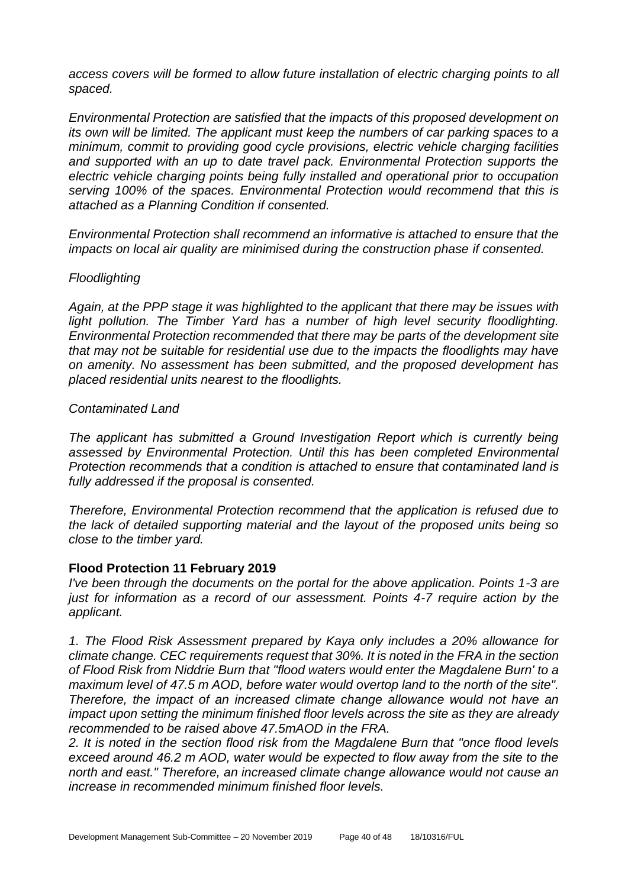*access covers will be formed to allow future installation of electric charging points to all spaced.*

*Environmental Protection are satisfied that the impacts of this proposed development on its own will be limited. The applicant must keep the numbers of car parking spaces to a minimum, commit to providing good cycle provisions, electric vehicle charging facilities and supported with an up to date travel pack. Environmental Protection supports the electric vehicle charging points being fully installed and operational prior to occupation serving 100% of the spaces. Environmental Protection would recommend that this is attached as a Planning Condition if consented.*

*Environmental Protection shall recommend an informative is attached to ensure that the impacts on local air quality are minimised during the construction phase if consented.*

#### *Floodlighting*

*Again, at the PPP stage it was highlighted to the applicant that there may be issues with*  light pollution. The Timber Yard has a number of high level security floodlighting. *Environmental Protection recommended that there may be parts of the development site that may not be suitable for residential use due to the impacts the floodlights may have on amenity. No assessment has been submitted, and the proposed development has placed residential units nearest to the floodlights.*

#### *Contaminated Land*

*The applicant has submitted a Ground Investigation Report which is currently being assessed by Environmental Protection. Until this has been completed Environmental Protection recommends that a condition is attached to ensure that contaminated land is fully addressed if the proposal is consented.* 

*Therefore, Environmental Protection recommend that the application is refused due to the lack of detailed supporting material and the layout of the proposed units being so close to the timber yard.* 

#### **Flood Protection 11 February 2019**

*I've been through the documents on the portal for the above application. Points 1-3 are just for information as a record of our assessment. Points 4-7 require action by the applicant.*

*1. The Flood Risk Assessment prepared by Kaya only includes a 20% allowance for climate change. CEC requirements request that 30%. It is noted in the FRA in the section of Flood Risk from Niddrie Burn that "flood waters would enter the Magdalene Burn' to a maximum level of 47.5 m AOD, before water would overtop land to the north of the site". Therefore, the impact of an increased climate change allowance would not have an impact upon setting the minimum finished floor levels across the site as they are already recommended to be raised above 47.5mAOD in the FRA.*

*2. It is noted in the section flood risk from the Magdalene Burn that "once flood levels exceed around 46.2 m AOD, water would be expected to flow away from the site to the north and east." Therefore, an increased climate change allowance would not cause an increase in recommended minimum finished floor levels.*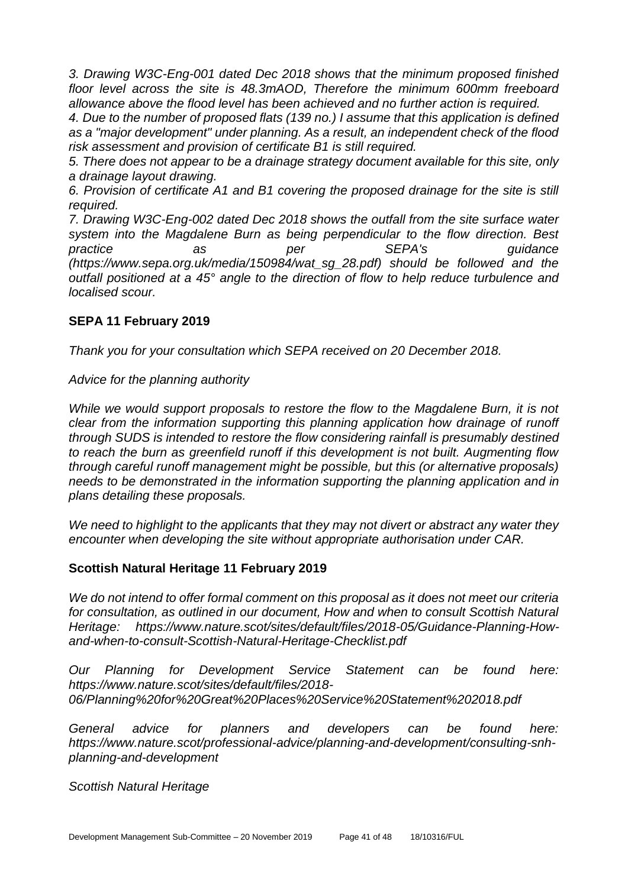*3. Drawing W3C-Eng-001 dated Dec 2018 shows that the minimum proposed finished floor level across the site is 48.3mAOD, Therefore the minimum 600mm freeboard allowance above the flood level has been achieved and no further action is required.*

*4. Due to the number of proposed flats (139 no.) I assume that this application is defined as a "major development" under planning. As a result, an independent check of the flood risk assessment and provision of certificate B1 is still required.*

*5. There does not appear to be a drainage strategy document available for this site, only a drainage layout drawing.*

*6. Provision of certificate A1 and B1 covering the proposed drainage for the site is still required.*

*7. Drawing W3C-Eng-002 dated Dec 2018 shows the outfall from the site surface water system into the Magdalene Burn as being perpendicular to the flow direction. Best practice as per SEPA's guidance (https://www.sepa.org.uk/media/150984/wat\_sg\_28.pdf) should be followed and the outfall positioned at a 45° angle to the direction of flow to help reduce turbulence and localised scour.*

#### **SEPA 11 February 2019**

*Thank you for your consultation which SEPA received on 20 December 2018.* 

*Advice for the planning authority*

*While we would support proposals to restore the flow to the Magdalene Burn, it is not clear from the information supporting this planning application how drainage of runoff through SUDS is intended to restore the flow considering rainfall is presumably destined to reach the burn as greenfield runoff if this development is not built. Augmenting flow through careful runoff management might be possible, but this (or alternative proposals) needs to be demonstrated in the information supporting the planning application and in plans detailing these proposals.* 

*We need to highlight to the applicants that they may not divert or abstract any water they encounter when developing the site without appropriate authorisation under CAR.*

#### **Scottish Natural Heritage 11 February 2019**

*We do not intend to offer formal comment on this proposal as it does not meet our criteria for consultation, as outlined in our document, How and when to consult Scottish Natural Heritage: https://www.nature.scot/sites/default/files/2018-05/Guidance-Planning-Howand-when-to-consult-Scottish-Natural-Heritage-Checklist.pdf* 

*Our Planning for Development Service Statement can be found here: https://www.nature.scot/sites/default/files/2018- 06/Planning%20for%20Great%20Places%20Service%20Statement%202018.pdf* 

*General advice for planners and developers can be found here: https://www.nature.scot/professional-advice/planning-and-development/consulting-snhplanning-and-development* 

*Scottish Natural Heritage*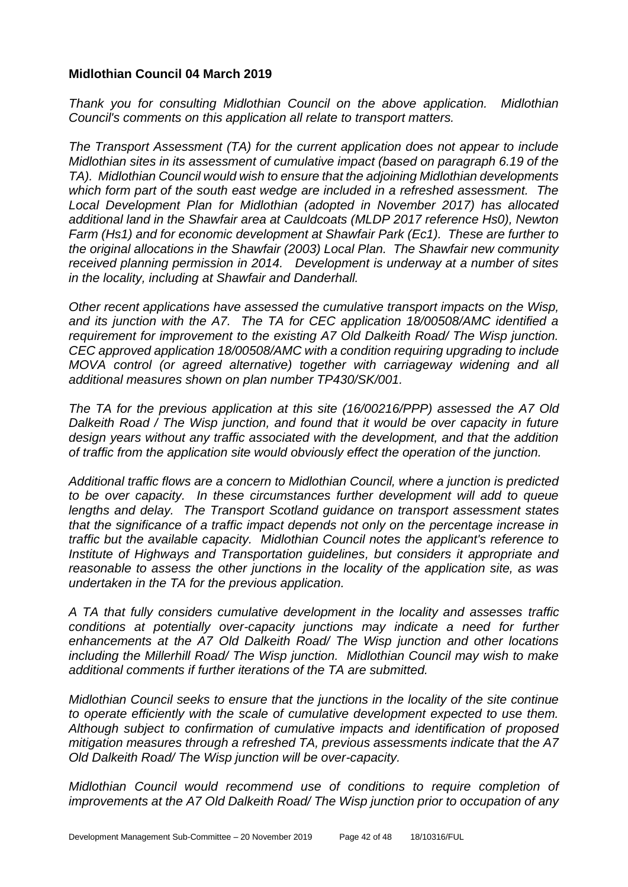#### **Midlothian Council 04 March 2019**

*Thank you for consulting Midlothian Council on the above application. Midlothian Council's comments on this application all relate to transport matters.* 

*The Transport Assessment (TA) for the current application does not appear to include Midlothian sites in its assessment of cumulative impact (based on paragraph 6.19 of the TA). Midlothian Council would wish to ensure that the adjoining Midlothian developments which form part of the south east wedge are included in a refreshed assessment. The Local Development Plan for Midlothian (adopted in November 2017) has allocated additional land in the Shawfair area at Cauldcoats (MLDP 2017 reference Hs0), Newton Farm (Hs1) and for economic development at Shawfair Park (Ec1). These are further to the original allocations in the Shawfair (2003) Local Plan. The Shawfair new community received planning permission in 2014. Development is underway at a number of sites in the locality, including at Shawfair and Danderhall.*

*Other recent applications have assessed the cumulative transport impacts on the Wisp, and its junction with the A7. The TA for CEC application 18/00508/AMC identified a requirement for improvement to the existing A7 Old Dalkeith Road/ The Wisp junction. CEC approved application 18/00508/AMC with a condition requiring upgrading to include MOVA control (or agreed alternative) together with carriageway widening and all additional measures shown on plan number TP430/SK/001.* 

*The TA for the previous application at this site (16/00216/PPP) assessed the A7 Old Dalkeith Road / The Wisp junction, and found that it would be over capacity in future design years without any traffic associated with the development, and that the addition of traffic from the application site would obviously effect the operation of the junction.* 

*Additional traffic flows are a concern to Midlothian Council, where a junction is predicted to be over capacity. In these circumstances further development will add to queue lengths and delay. The Transport Scotland guidance on transport assessment states that the significance of a traffic impact depends not only on the percentage increase in traffic but the available capacity. Midlothian Council notes the applicant's reference to Institute of Highways and Transportation guidelines, but considers it appropriate and reasonable to assess the other junctions in the locality of the application site, as was undertaken in the TA for the previous application.* 

*A TA that fully considers cumulative development in the locality and assesses traffic*  conditions at potentially over-capacity junctions may indicate a need for further *enhancements at the A7 Old Dalkeith Road/ The Wisp junction and other locations including the Millerhill Road/ The Wisp junction. Midlothian Council may wish to make additional comments if further iterations of the TA are submitted.*

*Midlothian Council seeks to ensure that the junctions in the locality of the site continue to operate efficiently with the scale of cumulative development expected to use them. Although subject to confirmation of cumulative impacts and identification of proposed mitigation measures through a refreshed TA, previous assessments indicate that the A7 Old Dalkeith Road/ The Wisp junction will be over-capacity.* 

*Midlothian Council would recommend use of conditions to require completion of improvements at the A7 Old Dalkeith Road/ The Wisp junction prior to occupation of any*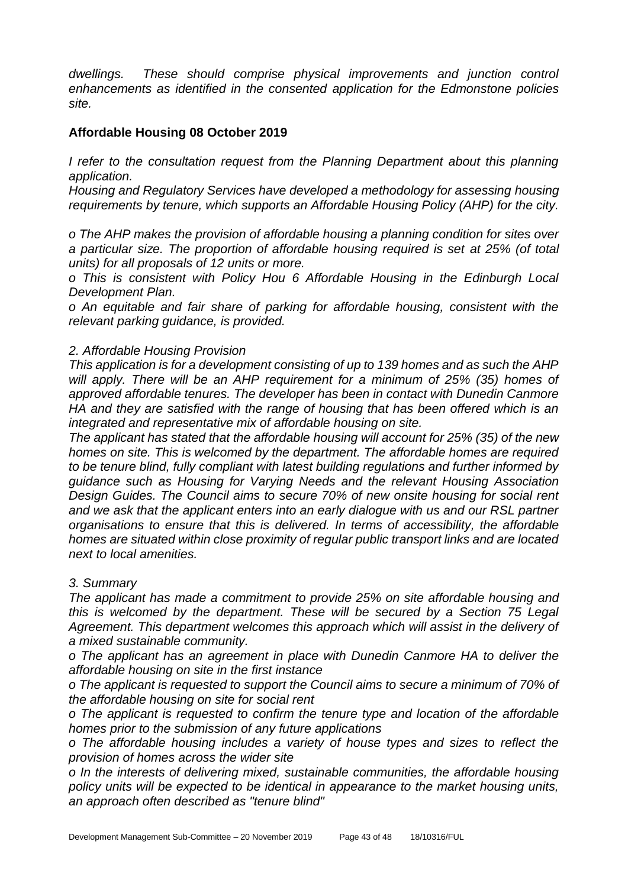*dwellings. These should comprise physical improvements and junction control enhancements as identified in the consented application for the Edmonstone policies site.*

#### **Affordable Housing 08 October 2019**

*I refer to the consultation request from the Planning Department about this planning application.*

*Housing and Regulatory Services have developed a methodology for assessing housing requirements by tenure, which supports an Affordable Housing Policy (AHP) for the city.*

*o The AHP makes the provision of affordable housing a planning condition for sites over a particular size. The proportion of affordable housing required is set at 25% (of total units) for all proposals of 12 units or more.*

*o This is consistent with Policy Hou 6 Affordable Housing in the Edinburgh Local Development Plan.*

*o An equitable and fair share of parking for affordable housing, consistent with the relevant parking guidance, is provided.*

#### *2. Affordable Housing Provision*

*This application is for a development consisting of up to 139 homes and as such the AHP will apply. There will be an AHP requirement for a minimum of 25% (35) homes of approved affordable tenures. The developer has been in contact with Dunedin Canmore HA and they are satisfied with the range of housing that has been offered which is an integrated and representative mix of affordable housing on site.*

*The applicant has stated that the affordable housing will account for 25% (35) of the new homes on site. This is welcomed by the department. The affordable homes are required to be tenure blind, fully compliant with latest building regulations and further informed by guidance such as Housing for Varying Needs and the relevant Housing Association Design Guides. The Council aims to secure 70% of new onsite housing for social rent and we ask that the applicant enters into an early dialogue with us and our RSL partner organisations to ensure that this is delivered. In terms of accessibility, the affordable homes are situated within close proximity of regular public transport links and are located next to local amenities.*

#### *3. Summary*

*The applicant has made a commitment to provide 25% on site affordable housing and this is welcomed by the department. These will be secured by a Section 75 Legal Agreement. This department welcomes this approach which will assist in the delivery of a mixed sustainable community.*

*o The applicant has an agreement in place with Dunedin Canmore HA to deliver the affordable housing on site in the first instance*

*o The applicant is requested to support the Council aims to secure a minimum of 70% of the affordable housing on site for social rent*

*o The applicant is requested to confirm the tenure type and location of the affordable homes prior to the submission of any future applications*

*o The affordable housing includes a variety of house types and sizes to reflect the provision of homes across the wider site*

*o In the interests of delivering mixed, sustainable communities, the affordable housing policy units will be expected to be identical in appearance to the market housing units, an approach often described as "tenure blind"*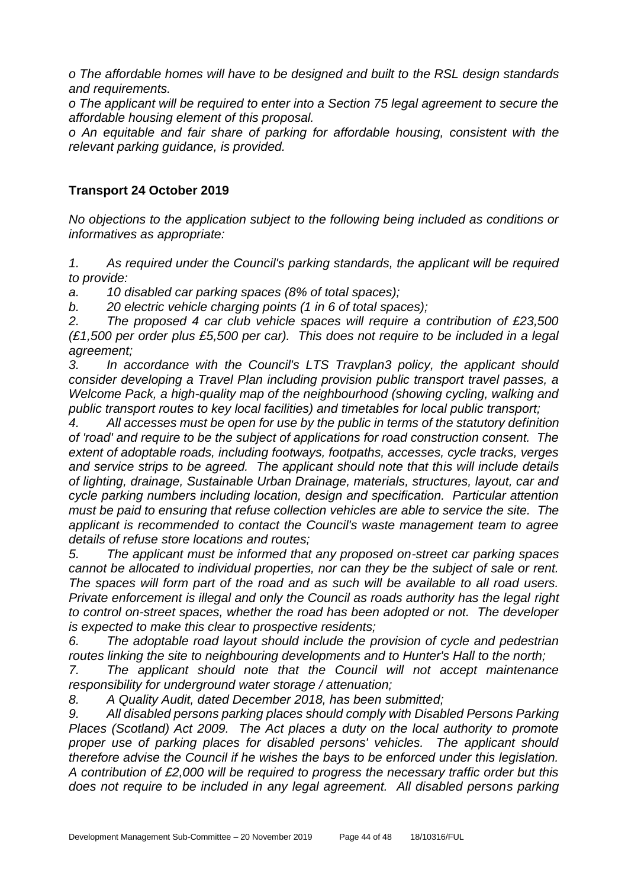*o The affordable homes will have to be designed and built to the RSL design standards and requirements.*

*o The applicant will be required to enter into a Section 75 legal agreement to secure the affordable housing element of this proposal.*

*o An equitable and fair share of parking for affordable housing, consistent with the relevant parking guidance, is provided.*

#### **Transport 24 October 2019**

*No objections to the application subject to the following being included as conditions or informatives as appropriate:*

*1. As required under the Council's parking standards, the applicant will be required to provide:*

*a. 10 disabled car parking spaces (8% of total spaces);*

*b. 20 electric vehicle charging points (1 in 6 of total spaces);*

*2. The proposed 4 car club vehicle spaces will require a contribution of £23,500 (£1,500 per order plus £5,500 per car). This does not require to be included in a legal agreement;*

*3. In accordance with the Council's LTS Travplan3 policy, the applicant should consider developing a Travel Plan including provision public transport travel passes, a Welcome Pack, a high-quality map of the neighbourhood (showing cycling, walking and public transport routes to key local facilities) and timetables for local public transport;*

*4. All accesses must be open for use by the public in terms of the statutory definition of 'road' and require to be the subject of applications for road construction consent. The extent of adoptable roads, including footways, footpaths, accesses, cycle tracks, verges and service strips to be agreed. The applicant should note that this will include details of lighting, drainage, Sustainable Urban Drainage, materials, structures, layout, car and cycle parking numbers including location, design and specification. Particular attention must be paid to ensuring that refuse collection vehicles are able to service the site. The applicant is recommended to contact the Council's waste management team to agree details of refuse store locations and routes;*

*5. The applicant must be informed that any proposed on-street car parking spaces cannot be allocated to individual properties, nor can they be the subject of sale or rent. The spaces will form part of the road and as such will be available to all road users. Private enforcement is illegal and only the Council as roads authority has the legal right to control on-street spaces, whether the road has been adopted or not. The developer is expected to make this clear to prospective residents;*

*6. The adoptable road layout should include the provision of cycle and pedestrian routes linking the site to neighbouring developments and to Hunter's Hall to the north;*

*7. The applicant should note that the Council will not accept maintenance responsibility for underground water storage / attenuation;*

*8. A Quality Audit, dated December 2018, has been submitted;*

*9. All disabled persons parking places should comply with Disabled Persons Parking Places (Scotland) Act 2009. The Act places a duty on the local authority to promote proper use of parking places for disabled persons' vehicles. The applicant should therefore advise the Council if he wishes the bays to be enforced under this legislation. A contribution of £2,000 will be required to progress the necessary traffic order but this does not require to be included in any legal agreement. All disabled persons parking*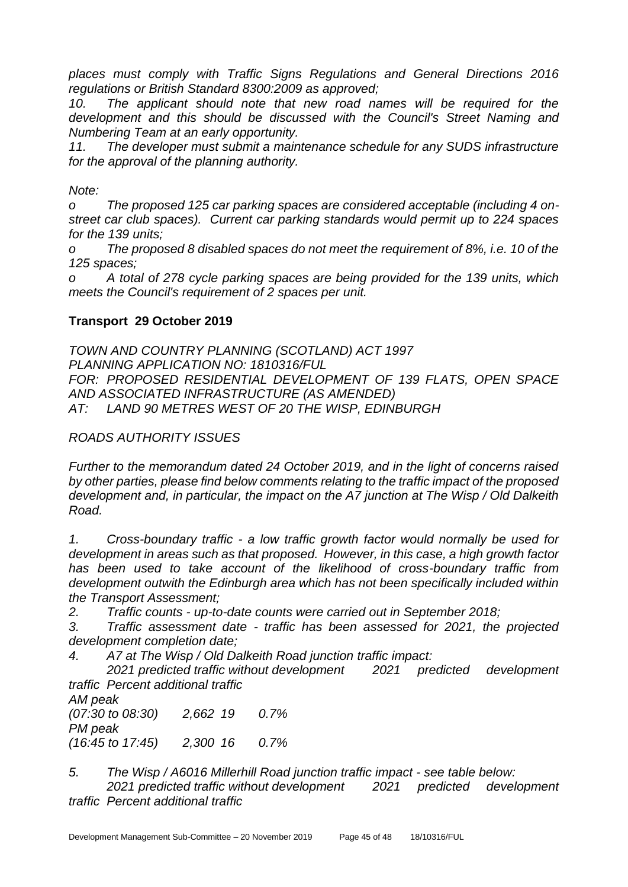*places must comply with Traffic Signs Regulations and General Directions 2016 regulations or British Standard 8300:2009 as approved;*

*10. The applicant should note that new road names will be required for the development and this should be discussed with the Council's Street Naming and Numbering Team at an early opportunity.*

*11. The developer must submit a maintenance schedule for any SUDS infrastructure for the approval of the planning authority.*

*Note:*

*o The proposed 125 car parking spaces are considered acceptable (including 4 onstreet car club spaces). Current car parking standards would permit up to 224 spaces for the 139 units;*

*o The proposed 8 disabled spaces do not meet the requirement of 8%, i.e. 10 of the 125 spaces;*

*o A total of 278 cycle parking spaces are being provided for the 139 units, which meets the Council's requirement of 2 spaces per unit.*

#### **Transport 29 October 2019**

*TOWN AND COUNTRY PLANNING (SCOTLAND) ACT 1997 PLANNING APPLICATION NO: 1810316/FUL FOR: PROPOSED RESIDENTIAL DEVELOPMENT OF 139 FLATS, OPEN SPACE AND ASSOCIATED INFRASTRUCTURE (AS AMENDED) AT: LAND 90 METRES WEST OF 20 THE WISP, EDINBURGH*

#### *ROADS AUTHORITY ISSUES*

*Further to the memorandum dated 24 October 2019, and in the light of concerns raised by other parties, please find below comments relating to the traffic impact of the proposed development and, in particular, the impact on the A7 junction at The Wisp / Old Dalkeith Road.*

*1. Cross-boundary traffic - a low traffic growth factor would normally be used for development in areas such as that proposed. However, in this case, a high growth factor*  has been used to take account of the likelihood of cross-boundary traffic from *development outwith the Edinburgh area which has not been specifically included within the Transport Assessment;*

*2. Traffic counts - up-to-date counts were carried out in September 2018;*

*3. Traffic assessment date - traffic has been assessed for 2021, the projected development completion date;*

*4. A7 at The Wisp / Old Dalkeith Road junction traffic impact:*

*2021 predicted traffic without development 2021 predicted development traffic Percent additional traffic*

*AM peak (07:30 to 08:30) 2,662 19 0.7% PM peak (16:45 to 17:45) 2,300 16 0.7%*

*5. The Wisp / A6016 Millerhill Road junction traffic impact - see table below: 2021 predicted traffic without development 2021 predicted development traffic Percent additional traffic*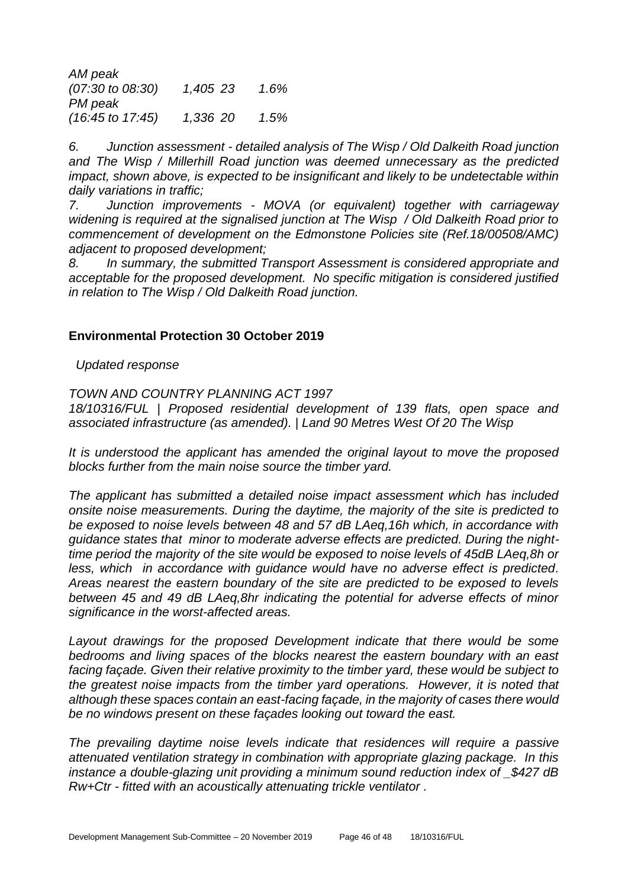*AM peak (07:30 to 08:30) 1,405 23 1.6% PM peak (16:45 to 17:45) 1,336 20 1.5%*

*6. Junction assessment - detailed analysis of The Wisp / Old Dalkeith Road junction and The Wisp / Millerhill Road junction was deemed unnecessary as the predicted impact, shown above, is expected to be insignificant and likely to be undetectable within daily variations in traffic;*

*7. Junction improvements - MOVA (or equivalent) together with carriageway widening is required at the signalised junction at The Wisp / Old Dalkeith Road prior to commencement of development on the Edmonstone Policies site (Ref.18/00508/AMC) adjacent to proposed development;*

*8. In summary, the submitted Transport Assessment is considered appropriate and acceptable for the proposed development. No specific mitigation is considered justified in relation to The Wisp / Old Dalkeith Road junction.*

#### **Environmental Protection 30 October 2019**

 *Updated response*

#### *TOWN AND COUNTRY PLANNING ACT 1997*

*18/10316/FUL | Proposed residential development of 139 flats, open space and associated infrastructure (as amended). | Land 90 Metres West Of 20 The Wisp*

*It is understood the applicant has amended the original layout to move the proposed blocks further from the main noise source the timber yard.*

*The applicant has submitted a detailed noise impact assessment which has included onsite noise measurements. During the daytime, the majority of the site is predicted to be exposed to noise levels between 48 and 57 dB LAeq,16h which, in accordance with guidance states that minor to moderate adverse effects are predicted. During the nighttime period the majority of the site would be exposed to noise levels of 45dB LAeq,8h or less, which in accordance with guidance would have no adverse effect is predicted. Areas nearest the eastern boundary of the site are predicted to be exposed to levels between 45 and 49 dB LAeq,8hr indicating the potential for adverse effects of minor significance in the worst-affected areas.* 

Layout drawings for the proposed Development indicate that there would be some *bedrooms and living spaces of the blocks nearest the eastern boundary with an east facing façade. Given their relative proximity to the timber yard, these would be subject to the greatest noise impacts from the timber yard operations. However, it is noted that although these spaces contain an east-facing façade, in the majority of cases there would be no windows present on these façades looking out toward the east.*

*The prevailing daytime noise levels indicate that residences will require a passive attenuated ventilation strategy in combination with appropriate glazing package. In this instance a double-glazing unit providing a minimum sound reduction index of \_\$427 dB Rw+Ctr - fitted with an acoustically attenuating trickle ventilator .*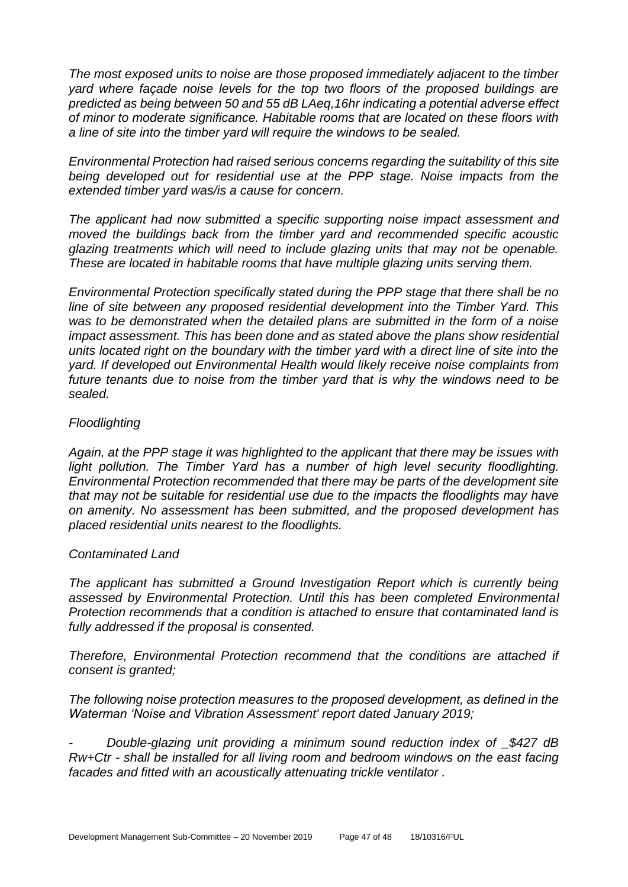*The most exposed units to noise are those proposed immediately adjacent to the timber yard where façade noise levels for the top two floors of the proposed buildings are predicted as being between 50 and 55 dB LAeq,16hr indicating a potential adverse effect of minor to moderate significance. Habitable rooms that are located on these floors with a line of site into the timber yard will require the windows to be sealed.* 

*Environmental Protection had raised serious concerns regarding the suitability of this site being developed out for residential use at the PPP stage. Noise impacts from the extended timber yard was/is a cause for concern.* 

*The applicant had now submitted a specific supporting noise impact assessment and moved the buildings back from the timber yard and recommended specific acoustic glazing treatments which will need to include glazing units that may not be openable. These are located in habitable rooms that have multiple glazing units serving them.*

*Environmental Protection specifically stated during the PPP stage that there shall be no line of site between any proposed residential development into the Timber Yard. This was to be demonstrated when the detailed plans are submitted in the form of a noise impact assessment. This has been done and as stated above the plans show residential units located right on the boundary with the timber yard with a direct line of site into the yard. If developed out Environmental Health would likely receive noise complaints from future tenants due to noise from the timber yard that is why the windows need to be sealed.*

#### *Floodlighting*

*Again, at the PPP stage it was highlighted to the applicant that there may be issues with*  light pollution. The Timber Yard has a number of high level security floodlighting. *Environmental Protection recommended that there may be parts of the development site that may not be suitable for residential use due to the impacts the floodlights may have on amenity. No assessment has been submitted, and the proposed development has placed residential units nearest to the floodlights.*

#### *Contaminated Land*

*The applicant has submitted a Ground Investigation Report which is currently being assessed by Environmental Protection. Until this has been completed Environmental Protection recommends that a condition is attached to ensure that contaminated land is fully addressed if the proposal is consented.* 

*Therefore, Environmental Protection recommend that the conditions are attached if consent is granted;*

*The following noise protection measures to the proposed development, as defined in the Waterman 'Noise and Vibration Assessment' report dated January 2019;*

*- Double-glazing unit providing a minimum sound reduction index of \_\$427 dB Rw+Ctr - shall be installed for all living room and bedroom windows on the east facing facades and fitted with an acoustically attenuating trickle ventilator .*